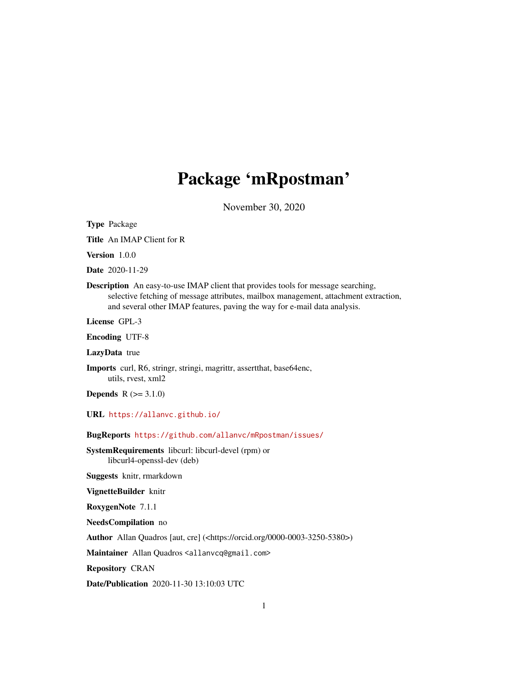## Package 'mRpostman'

November 30, 2020

<span id="page-0-0"></span>Type Package

Title An IMAP Client for R

Version 1.0.0

Date 2020-11-29

Description An easy-to-use IMAP client that provides tools for message searching, selective fetching of message attributes, mailbox management, attachment extraction, and several other IMAP features, paving the way for e-mail data analysis.

License GPL-3

Encoding UTF-8

LazyData true

Imports curl, R6, stringr, stringi, magrittr, assertthat, base64enc, utils, rvest, xml2

**Depends**  $R (= 3.1.0)$ 

URL <https://allanvc.github.io/>

BugReports <https://github.com/allanvc/mRpostman/issues/>

SystemRequirements libcurl: libcurl-devel (rpm) or libcurl4-openssl-dev (deb)

Suggests knitr, rmarkdown

VignetteBuilder knitr

RoxygenNote 7.1.1

NeedsCompilation no

Author Allan Quadros [aut, cre] (<https://orcid.org/0000-0003-3250-5380>)

Maintainer Allan Quadros <allanvcq@gmail.com>

Repository CRAN

Date/Publication 2020-11-30 13:10:03 UTC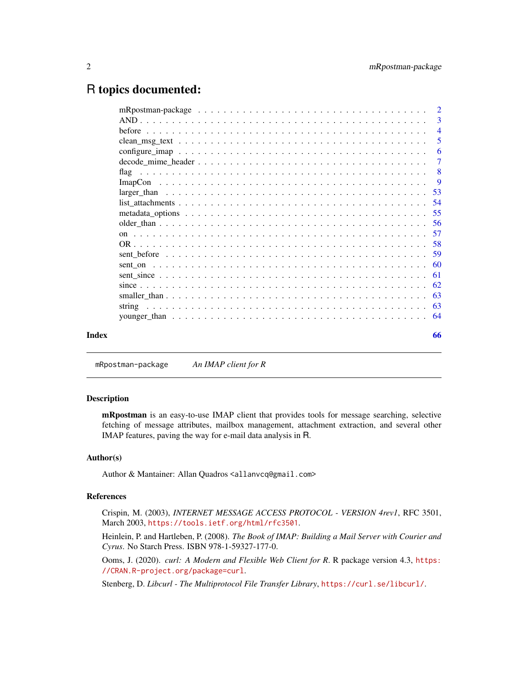## <span id="page-1-0"></span>R topics documented:

| 3              |
|----------------|
|                |
| 5              |
| 6              |
| $\overline{7}$ |
| - 8            |
|                |
|                |
|                |
|                |
|                |
|                |
|                |
|                |
|                |
|                |
|                |
|                |
|                |
|                |
| 66             |
|                |

mRpostman-package *An IMAP client for R*

## Description

mRpostman is an easy-to-use IMAP client that provides tools for message searching, selective fetching of message attributes, mailbox management, attachment extraction, and several other IMAP features, paving the way for e-mail data analysis in R.

#### Author(s)

Author & Mantainer: Allan Quadros <allanvcq@gmail.com>

## References

Crispin, M. (2003), *INTERNET MESSAGE ACCESS PROTOCOL - VERSION 4rev1*, RFC 3501, March 2003, <https://tools.ietf.org/html/rfc3501>.

Heinlein, P. and Hartleben, P. (2008). *The Book of IMAP: Building a Mail Server with Courier and Cyrus*. No Starch Press. ISBN 978-1-59327-177-0.

Ooms, J. (2020). *curl: A Modern and Flexible Web Client for R*. R package version 4.3, [https:](https://CRAN.R-project.org/package=curl) [//CRAN.R-project.org/package=curl](https://CRAN.R-project.org/package=curl).

Stenberg, D. *Libcurl - The Multiprotocol File Transfer Library*, <https://curl.se/libcurl/>.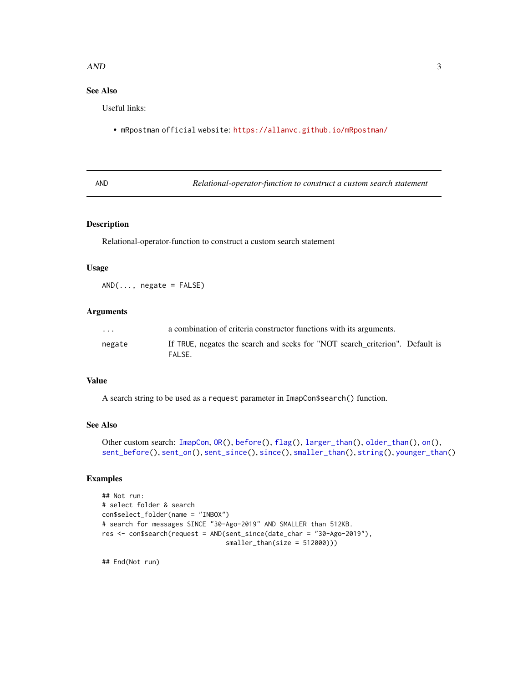#### <span id="page-2-0"></span> $\Delta$ AND  $\frac{3}{2}$

## See Also

Useful links:

• mRpostman official website: <https://allanvc.github.io/mRpostman/>

<span id="page-2-1"></span>AND *Relational-operator-function to construct a custom search statement*

## Description

Relational-operator-function to construct a custom search statement

#### Usage

 $AND(\ldots, \text{negative} = FALSE)$ 

## Arguments

| $\cdot$ $\cdot$ $\cdot$ | a combination of criteria constructor functions with its arguments.                    |
|-------------------------|----------------------------------------------------------------------------------------|
| negate                  | If TRUE, negates the search and seeks for "NOT search criterion". Default is<br>FALSE. |

## Value

A search string to be used as a request parameter in ImapCon\$search() function.

## See Also

```
Other custom search: ImapCon, OR(), before(), flag(), larger_than(), older_than(), on(),
sent_before(), sent_on(), sent_since(), since(), smaller_than(), string(), younger_than()
```
## Examples

```
## Not run:
# select folder & search
con$select_folder(name = "INBOX")
# search for messages SINCE "30-Ago-2019" AND SMALLER than 512KB.
res <- con$search(request = AND(sent_since(date_char = "30-Ago-2019"),
                                smaller_than(size = 512000)))
```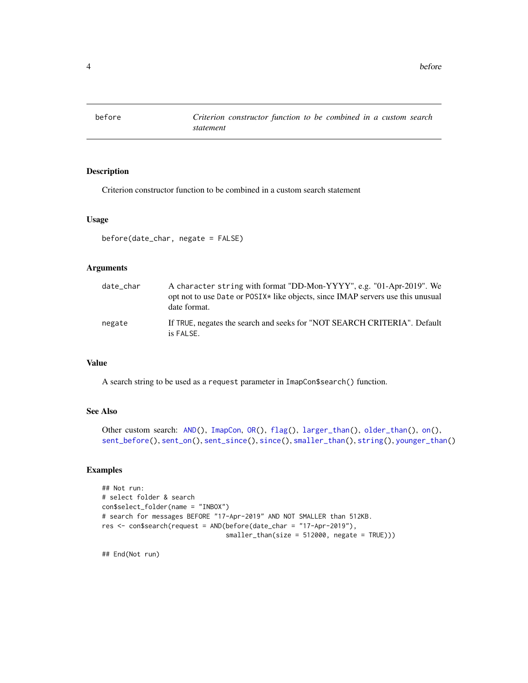<span id="page-3-0"></span>4 before

<span id="page-3-1"></span>

## Description

Criterion constructor function to be combined in a custom search statement

#### Usage

```
before(date_char, negate = FALSE)
```
## Arguments

| date_char | A character string with format "DD-Mon-YYYY", e.g. "01-Apr-2019". We<br>opt not to use Date or POSIX <sup>*</sup> like objects, since IMAP servers use this unusual<br>date format. |
|-----------|-------------------------------------------------------------------------------------------------------------------------------------------------------------------------------------|
| negate    | If TRUE, negates the search and seeks for "NOT SEARCH CRITERIA". Default<br>is FALSE.                                                                                               |

## Value

A search string to be used as a request parameter in ImapCon\$search() function.

## See Also

```
Other custom search: AND(), ImapCon, OR(), flag(), larger_than(), older_than(), on(),
sent_before(), sent_on(), sent_since(), since(), smaller_than(), string(), younger_than()
```
## Examples

```
## Not run:
# select folder & search
con$select_folder(name = "INBOX")
# search for messages BEFORE "17-Apr-2019" AND NOT SMALLER than 512KB.
res <- con$search(request = AND(before(date_char = "17-Apr-2019"),
                                smaller_than(size = 512000, negate = TRUE)))
```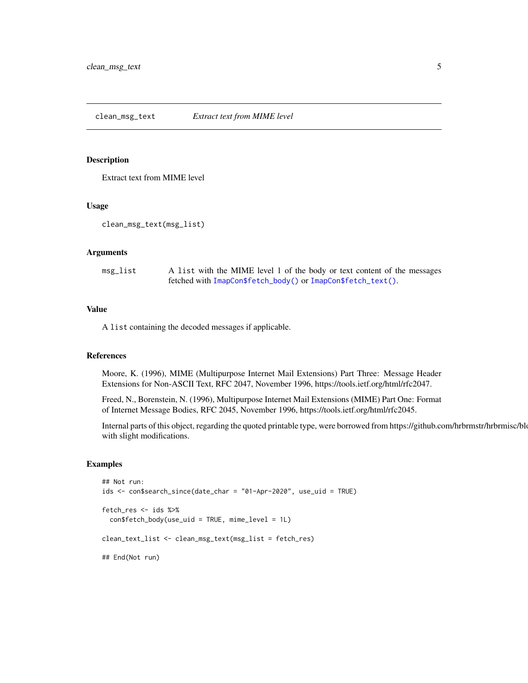<span id="page-4-0"></span>Extract text from MIME level

#### Usage

```
clean_msg_text(msg_list)
```
#### Arguments

| msg_list | A list with the MIME level 1 of the body or text content of the messages |
|----------|--------------------------------------------------------------------------|
|          | fetched with ImapCon\$fetch_body() or ImapCon\$fetch_text().             |

## Value

A list containing the decoded messages if applicable.

## References

Moore, K. (1996), MIME (Multipurpose Internet Mail Extensions) Part Three: Message Header Extensions for Non-ASCII Text, RFC 2047, November 1996, https://tools.ietf.org/html/rfc2047.

Freed, N., Borenstein, N. (1996), Multipurpose Internet Mail Extensions (MIME) Part One: Format of Internet Message Bodies, RFC 2045, November 1996, https://tools.ietf.org/html/rfc2045.

Internal parts of this object, regarding the quoted printable type, were borrowed from https://github.com/hrbrmstr/hrbrmisc/blo with slight modifications.

#### Examples

```
## Not run:
ids <- con$search_since(date_char = "01-Apr-2020", use_uid = TRUE)
fetch_res <- ids %>%
 con$fetch_body(use_uid = TRUE, mime_level = 1L)
clean_text_list <- clean_msg_text(msg_list = fetch_res)
## End(Not run)
```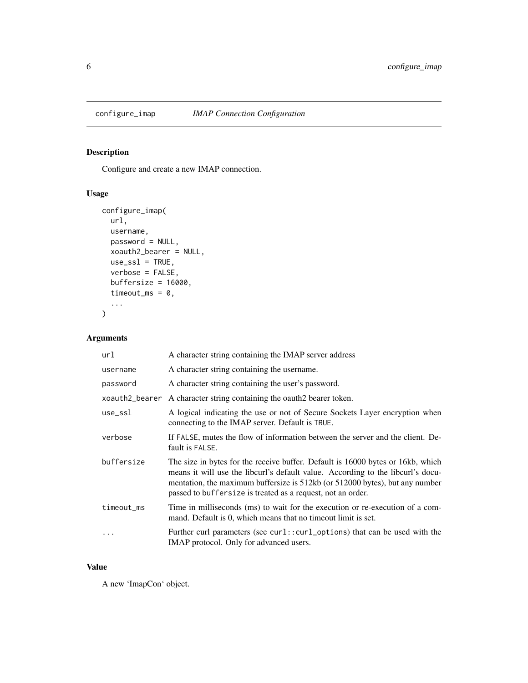<span id="page-5-1"></span><span id="page-5-0"></span>

Configure and create a new IMAP connection.

## Usage

```
configure_imap(
  url,
  username,
  password = NULL,
  xoauth2_bearer = NULL,
  use\_ssl = TRUE,verbose = FALSE,
  buffersize = 16000,
  timeout_ms = 0,
  ...
\overline{\phantom{a}}
```
## Arguments

| url                  | A character string containing the IMAP server address                                                                                                                                                                                                                                                             |
|----------------------|-------------------------------------------------------------------------------------------------------------------------------------------------------------------------------------------------------------------------------------------------------------------------------------------------------------------|
| username             | A character string containing the username.                                                                                                                                                                                                                                                                       |
| password             | A character string containing the user's password.                                                                                                                                                                                                                                                                |
| xoauth2_bearer       | A character string containing the oauth2 bearer token.                                                                                                                                                                                                                                                            |
| $use$ <sub>ssl</sub> | A logical indicating the use or not of Secure Sockets Layer encryption when<br>connecting to the IMAP server. Default is TRUE.                                                                                                                                                                                    |
| verbose              | If FALSE, mutes the flow of information between the server and the client. De-<br>fault is FALSE.                                                                                                                                                                                                                 |
| buffersize           | The size in bytes for the receive buffer. Default is 16000 bytes or 16kb, which<br>means it will use the libcurl's default value. According to the libcurl's docu-<br>mentation, the maximum buffersize is 512kb (or 512000 bytes), but any number<br>passed to buffersize is treated as a request, not an order. |
| timeout_ms           | Time in milliseconds (ms) to wait for the execution or re-execution of a com-<br>mand. Default is 0, which means that no time out limit is set.                                                                                                                                                                   |
|                      | Further curl parameters (see curl::curl_options) that can be used with the<br>IMAP protocol. Only for advanced users.                                                                                                                                                                                             |

#### Value

A new 'ImapCon' object.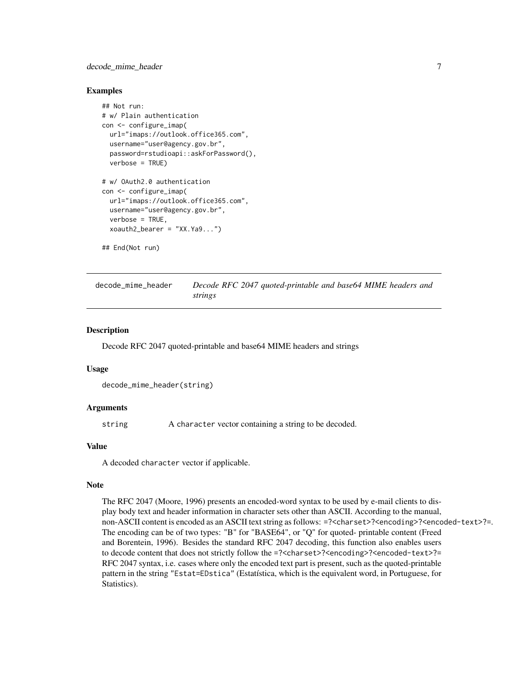## <span id="page-6-0"></span>decode\_mime\_header 7

#### Examples

```
## Not run:
# w/ Plain authentication
con <- configure_imap(
 url="imaps://outlook.office365.com",
 username="user@agency.gov.br",
 password=rstudioapi::askForPassword(),
 verbose = TRUE)
# w/ OAuth2.0 authentication
con <- configure_imap(
 url="imaps://outlook.office365.com",
 username="user@agency.gov.br",
 verbose = TRUE,
 xoauth2_bearer = "XX.Ya9...")
```

```
## End(Not run)
```
decode\_mime\_header *Decode RFC 2047 quoted-printable and base64 MIME headers and strings*

#### Description

Decode RFC 2047 quoted-printable and base64 MIME headers and strings

#### Usage

```
decode_mime_header(string)
```
#### Arguments

string A character vector containing a string to be decoded.

## Value

A decoded character vector if applicable.

#### Note

The RFC 2047 (Moore, 1996) presents an encoded-word syntax to be used by e-mail clients to display body text and header information in character sets other than ASCII. According to the manual, non-ASCII content is encoded as an ASCII text string as follows: =?<charset>?<encoding>?<encoded-text>?=. The encoding can be of two types: "B" for "BASE64", or "Q" for quoted- printable content (Freed and Borentein, 1996). Besides the standard RFC 2047 decoding, this function also enables users to decode content that does not strictly follow the =?<charset>?<encoding>?<encoded-text>?= RFC 2047 syntax, i.e. cases where only the encoded text part is present, such as the quoted-printable pattern in the string "Estat=EDstica" (Estatística, which is the equivalent word, in Portuguese, for Statistics).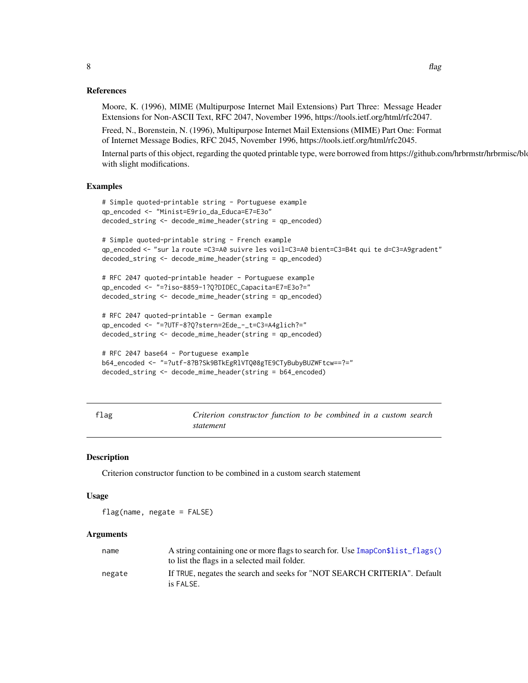#### <span id="page-7-0"></span>References

Moore, K. (1996), MIME (Multipurpose Internet Mail Extensions) Part Three: Message Header Extensions for Non-ASCII Text, RFC 2047, November 1996, https://tools.ietf.org/html/rfc2047.

Freed, N., Borenstein, N. (1996), Multipurpose Internet Mail Extensions (MIME) Part One: Format of Internet Message Bodies, RFC 2045, November 1996, https://tools.ietf.org/html/rfc2045.

Internal parts of this object, regarding the quoted printable type, were borrowed from https://github.com/hrbrmstr/hrbrmisc/blo with slight modifications.

#### Examples

```
# Simple quoted-printable string - Portuguese example
qp_encoded <- "Minist=E9rio_da_Educa=E7=E3o"
decoded_string <- decode_mime_header(string = qp_encoded)
# Simple quoted-printable string - French example
qp_encoded <- "sur la route =C3=A0 suivre les voil=C3=A0 bient=C3=B4t qui te d=C3=A9gradent"
decoded_string <- decode_mime_header(string = qp_encoded)
# RFC 2047 quoted-printable header - Portuguese example
qp_encoded <- "=?iso-8859-1?Q?DIDEC_Capacita=E7=E3o?="
decoded_string <- decode_mime_header(string = qp_encoded)
# RFC 2047 quoted-printable - German example
qp_encoded <- "=?UTF-8?Q?stern=2Ede_-_t=C3=A4glich?="
decoded_string <- decode_mime_header(string = qp_encoded)
# RFC 2047 base64 - Portuguese example
```

```
b64_encoded <- "=?utf-8?B?Sk9BTkEgRlVTQ08gTE9CTyBubyBUZWFtcw==?="
decoded_string <- decode_mime_header(string = b64_encoded)
```

| ×<br>I |
|--------|
|        |

<span id="page-7-1"></span>flag *Criterion constructor function to be combined in a custom search statement*

#### Description

Criterion constructor function to be combined in a custom search statement

#### Usage

flag(name, negate = FALSE)

| name   | A string containing one or more flags to search for. Use ImapCon\$list_flags() |
|--------|--------------------------------------------------------------------------------|
|        | to list the flags in a selected mail folder.                                   |
| negate | If TRUE, negates the search and seeks for "NOT SEARCH CRITERIA". Default       |
|        | is FALSE.                                                                      |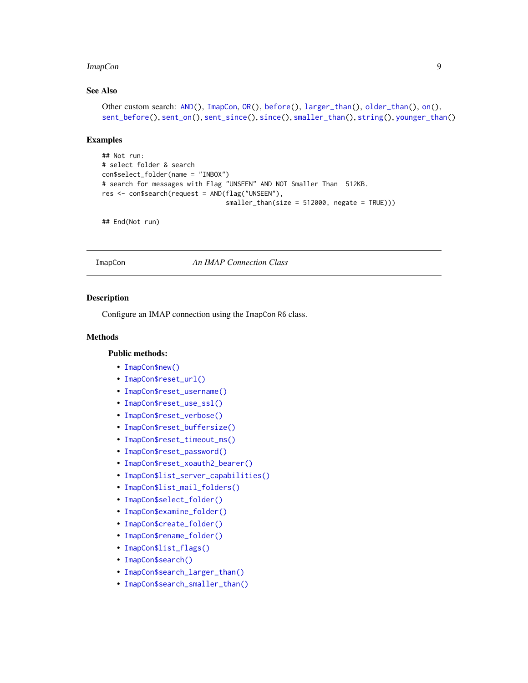## <span id="page-8-0"></span>See Also

```
Other custom search: AND(), ImapCon, OR(), before(), larger_than(), older_than(), on(),
sent_before(), sent_on(), sent_since(), since(), smaller_than(), string(), younger_than()
```
#### Examples

```
## Not run:
# select folder & search
con$select_folder(name = "INBOX")
# search for messages with Flag "UNSEEN" AND NOT Smaller Than 512KB.
res <- con$search(request = AND(flag("UNSEEN"),
                                smaller_than(size = 512000, negate = TRUE)))
```
## End(Not run)

<span id="page-8-1"></span>ImapCon *An IMAP Connection Class*

## Description

Configure an IMAP connection using the ImapCon R6 class.

#### Methods

## Public methods:

- [ImapCon\\$new\(\)](#page-9-0)
- [ImapCon\\$reset\\_url\(\)](#page-10-0)
- [ImapCon\\$reset\\_username\(\)](#page-10-1)
- [ImapCon\\$reset\\_use\\_ssl\(\)](#page-10-2)
- [ImapCon\\$reset\\_verbose\(\)](#page-10-3)
- [ImapCon\\$reset\\_buffersize\(\)](#page-10-4)
- [ImapCon\\$reset\\_timeout\\_ms\(\)](#page-11-0)
- [ImapCon\\$reset\\_password\(\)](#page-11-1)
- [ImapCon\\$reset\\_xoauth2\\_bearer\(\)](#page-11-2)
- [ImapCon\\$list\\_server\\_capabilities\(\)](#page-11-3)
- [ImapCon\\$list\\_mail\\_folders\(\)](#page-11-4)
- [ImapCon\\$select\\_folder\(\)](#page-12-0)
- [ImapCon\\$examine\\_folder\(\)](#page-12-1)
- [ImapCon\\$create\\_folder\(\)](#page-12-2)
- [ImapCon\\$rename\\_folder\(\)](#page-13-1)
- [ImapCon\\$list\\_flags\(\)](#page-13-0)
- [ImapCon\\$search\(\)](#page-14-0)
- [ImapCon\\$search\\_larger\\_than\(\)](#page-15-0)
- [ImapCon\\$search\\_smaller\\_than\(\)](#page-15-1)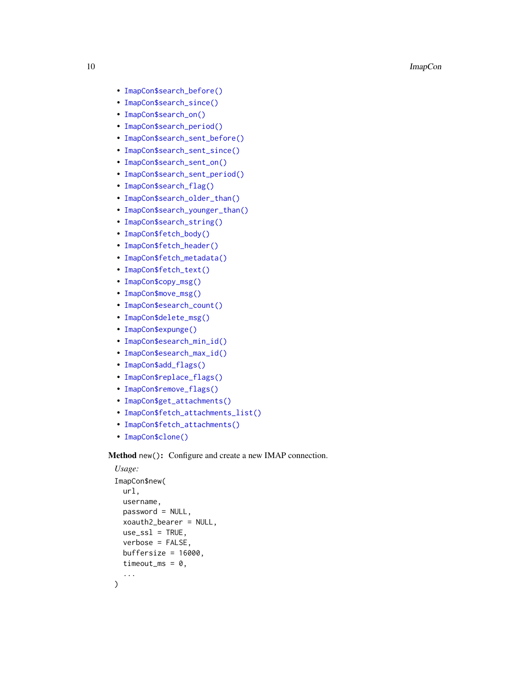- [ImapCon\\$search\\_before\(\)](#page-16-0)
- [ImapCon\\$search\\_since\(\)](#page-17-0)
- [ImapCon\\$search\\_on\(\)](#page-18-0)
- [ImapCon\\$search\\_period\(\)](#page-19-0)
- [ImapCon\\$search\\_sent\\_before\(\)](#page-20-0)
- [ImapCon\\$search\\_sent\\_since\(\)](#page-21-0)
- [ImapCon\\$search\\_sent\\_on\(\)](#page-21-1)
- [ImapCon\\$search\\_sent\\_period\(\)](#page-22-0)
- [ImapCon\\$search\\_flag\(\)](#page-23-0)
- [ImapCon\\$search\\_older\\_than\(\)](#page-24-0)
- [ImapCon\\$search\\_younger\\_than\(\)](#page-25-0)
- [ImapCon\\$search\\_string\(\)](#page-26-1)
- [ImapCon\\$fetch\\_body\(\)](#page-26-0)
- [ImapCon\\$fetch\\_header\(\)](#page-28-0)
- [ImapCon\\$fetch\\_metadata\(\)](#page-29-0)
- [ImapCon\\$fetch\\_text\(\)](#page-30-0)
- [ImapCon\\$copy\\_msg\(\)](#page-31-0)
- [ImapCon\\$move\\_msg\(\)](#page-32-0)
- [ImapCon\\$esearch\\_count\(\)](#page-33-0)
- [ImapCon\\$delete\\_msg\(\)](#page-33-1)
- [ImapCon\\$expunge\(\)](#page-34-0)
- [ImapCon\\$esearch\\_min\\_id\(\)](#page-34-1)
- [ImapCon\\$esearch\\_max\\_id\(\)](#page-35-0)
- [ImapCon\\$add\\_flags\(\)](#page-35-1)
- [ImapCon\\$replace\\_flags\(\)](#page-36-0)
- [ImapCon\\$remove\\_flags\(\)](#page-37-0)
- [ImapCon\\$get\\_attachments\(\)](#page-37-1)
- [ImapCon\\$fetch\\_attachments\\_list\(\)](#page-38-0)
- [ImapCon\\$fetch\\_attachments\(\)](#page-39-0)
- [ImapCon\\$clone\(\)](#page-40-0)

## <span id="page-9-0"></span>Method new(): Configure and create a new IMAP connection.

```
Usage:
ImapCon$new(
  url,
  username,
  password = NULL,
 xoauth2_bearer = NULL,
 use\_ssl = TRUE,
 verbose = FALSE,
 buffersize = 16000,
 timeout_ms = 0,
  ...
)
```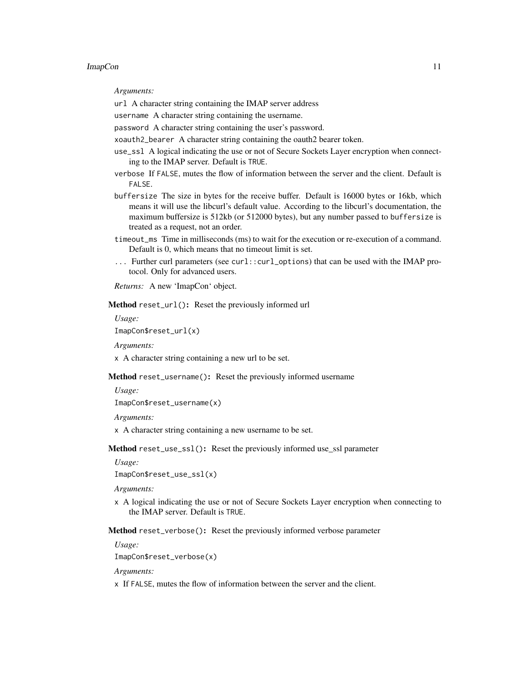*Arguments:*

url A character string containing the IMAP server address

username A character string containing the username.

password A character string containing the user's password.

xoauth2\_bearer A character string containing the oauth2 bearer token.

use\_ssl A logical indicating the use or not of Secure Sockets Layer encryption when connecting to the IMAP server. Default is TRUE.

verbose If FALSE, mutes the flow of information between the server and the client. Default is FALSE.

buffersize The size in bytes for the receive buffer. Default is 16000 bytes or 16kb, which means it will use the libcurl's default value. According to the libcurl's documentation, the maximum buffersize is 512kb (or 512000 bytes), but any number passed to buffersize is treated as a request, not an order.

time out ms Time in milliseconds (ms) to wait for the execution or re-execution of a command. Default is 0, which means that no timeout limit is set.

... Further curl parameters (see curl::curl\_options) that can be used with the IMAP protocol. Only for advanced users.

*Returns:* A new 'ImapCon' object.

<span id="page-10-0"></span>Method reset\_url(): Reset the previously informed url

*Usage:*

ImapCon\$reset\_url(x)

*Arguments:*

x A character string containing a new url to be set.

<span id="page-10-1"></span>Method reset\_username(): Reset the previously informed username

*Usage:*

ImapCon\$reset\_username(x)

*Arguments:*

x A character string containing a new username to be set.

<span id="page-10-2"></span>Method reset\_use\_ssl(): Reset the previously informed use\_ssl parameter

*Usage:*

ImapCon\$reset\_use\_ssl(x)

*Arguments:*

x A logical indicating the use or not of Secure Sockets Layer encryption when connecting to the IMAP server. Default is TRUE.

<span id="page-10-3"></span>Method reset\_verbose(): Reset the previously informed verbose parameter

*Usage:*

ImapCon\$reset\_verbose(x)

*Arguments:*

<span id="page-10-4"></span>x If FALSE, mutes the flow of information between the server and the client.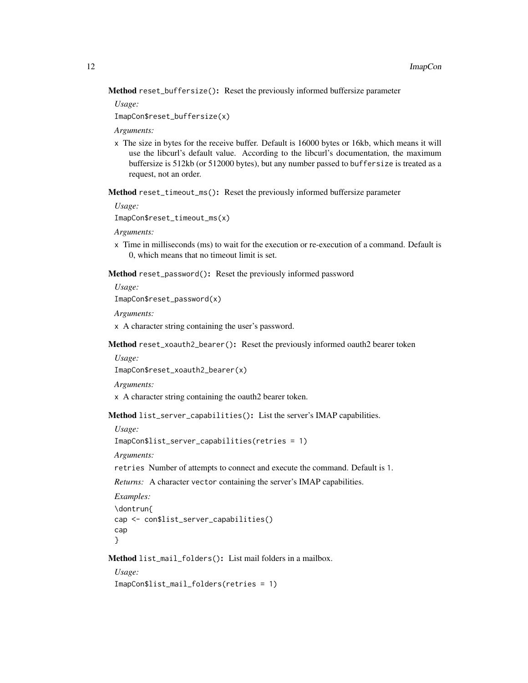Method reset\_buffersize(): Reset the previously informed buffersize parameter

*Usage:*

ImapCon\$reset\_buffersize(x)

*Arguments:*

x The size in bytes for the receive buffer. Default is 16000 bytes or 16kb, which means it will use the libcurl's default value. According to the libcurl's documentation, the maximum buffersize is 512kb (or 512000 bytes), but any number passed to buffersize is treated as a request, not an order.

<span id="page-11-0"></span>Method reset\_timeout\_ms(): Reset the previously informed buffersize parameter

*Usage:*

ImapCon\$reset\_timeout\_ms(x)

*Arguments:*

x Time in milliseconds (ms) to wait for the execution or re-execution of a command. Default is 0, which means that no timeout limit is set.

<span id="page-11-1"></span>Method reset\_password(): Reset the previously informed password

*Usage:*

ImapCon\$reset\_password(x)

*Arguments:*

x A character string containing the user's password.

<span id="page-11-2"></span>Method reset\_xoauth2\_bearer(): Reset the previously informed oauth2 bearer token

*Usage:*

ImapCon\$reset\_xoauth2\_bearer(x)

*Arguments:*

x A character string containing the oauth2 bearer token.

<span id="page-11-3"></span>Method list\_server\_capabilities(): List the server's IMAP capabilities.

*Usage:*

ImapCon\$list\_server\_capabilities(retries = 1)

*Arguments:*

retries Number of attempts to connect and execute the command. Default is 1.

*Returns:* A character vector containing the server's IMAP capabilities.

```
Examples:
\dontrun{
cap <- con$list_server_capabilities()
cap
}
```
<span id="page-11-4"></span>Method list\_mail\_folders(): List mail folders in a mailbox.

*Usage:* ImapCon\$list\_mail\_folders(retries = 1)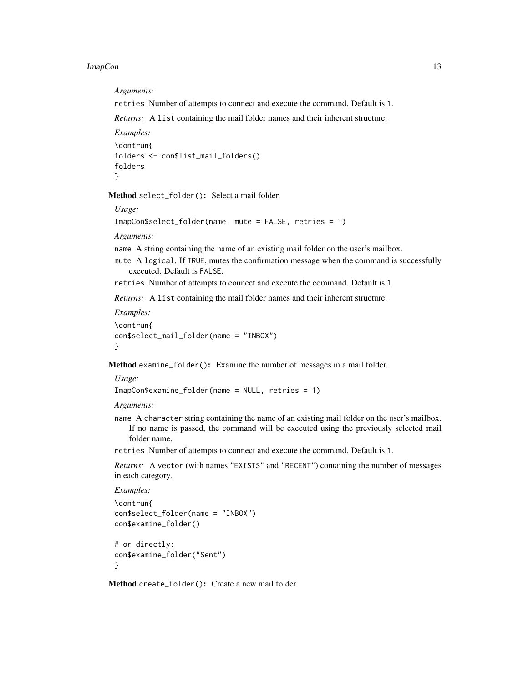*Arguments:*

retries Number of attempts to connect and execute the command. Default is 1.

*Returns:* A list containing the mail folder names and their inherent structure.

```
Examples:
\dontrun{
folders <- con$list_mail_folders()
folders
}
```
<span id="page-12-0"></span>Method select\_folder(): Select a mail folder.

*Usage:*

```
ImapCon$select_folder(name, mute = FALSE, retries = 1)
```
*Arguments:*

name A string containing the name of an existing mail folder on the user's mailbox.

mute A logical. If TRUE, mutes the confirmation message when the command is successfully executed. Default is FALSE.

retries Number of attempts to connect and execute the command. Default is 1.

*Returns:* A list containing the mail folder names and their inherent structure.

```
Examples:
\dontrun{
con$select_mail_folder(name = "INBOX")
}
```
<span id="page-12-1"></span>Method examine\_folder(): Examine the number of messages in a mail folder.

*Usage:*

```
ImapCon$examine_folder(name = NULL, retries = 1)
```
*Arguments:*

name A character string containing the name of an existing mail folder on the user's mailbox. If no name is passed, the command will be executed using the previously selected mail folder name.

retries Number of attempts to connect and execute the command. Default is 1.

*Returns:* A vector (with names "EXISTS" and "RECENT") containing the number of messages in each category.

```
Examples:
\dontrun{
con$select_folder(name = "INBOX")
con$examine_folder()
# or directly:
con$examine_folder("Sent")
}
```
<span id="page-12-2"></span>Method create\_folder(): Create a new mail folder.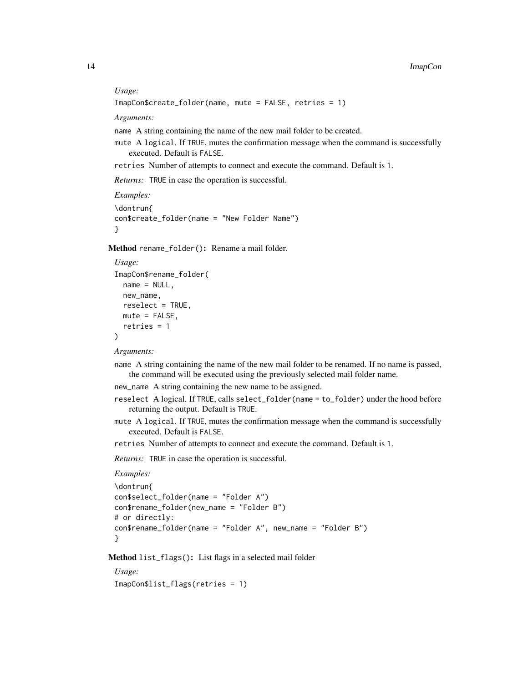#### *Usage:*

```
ImapCon$create_folder(name, mute = FALSE, retries = 1)
```
*Arguments:*

name A string containing the name of the new mail folder to be created.

mute A logical. If TRUE, mutes the confirmation message when the command is successfully executed. Default is FALSE.

retries Number of attempts to connect and execute the command. Default is 1.

*Returns:* TRUE in case the operation is successful.

```
Examples:
\dontrun{
con$create_folder(name = "New Folder Name")
}
```
<span id="page-13-1"></span>Method rename\_folder(): Rename a mail folder.

```
Usage:
ImapCon$rename_folder(
 name = NULL,new_name,
 reselect = TRUE,
 mute = FALSE,
  retries = 1
\lambda
```
*Arguments:*

- name A string containing the name of the new mail folder to be renamed. If no name is passed, the command will be executed using the previously selected mail folder name.
- new\_name A string containing the new name to be assigned.
- reselect A logical. If TRUE, calls select\_folder(name = to\_folder) under the hood before returning the output. Default is TRUE.
- mute A logical. If TRUE, mutes the confirmation message when the command is successfully executed. Default is FALSE.
- retries Number of attempts to connect and execute the command. Default is 1.

*Returns:* TRUE in case the operation is successful.

```
Examples:
```

```
\dontrun{
con$select_folder(name = "Folder A")
con$rename_folder(new_name = "Folder B")
# or directly:
con$rename_folder(name = "Folder A", new_name = "Folder B")
}
```
<span id="page-13-0"></span>Method list\_flags(): List flags in a selected mail folder

*Usage:*

ImapCon\$list\_flags(retries = 1)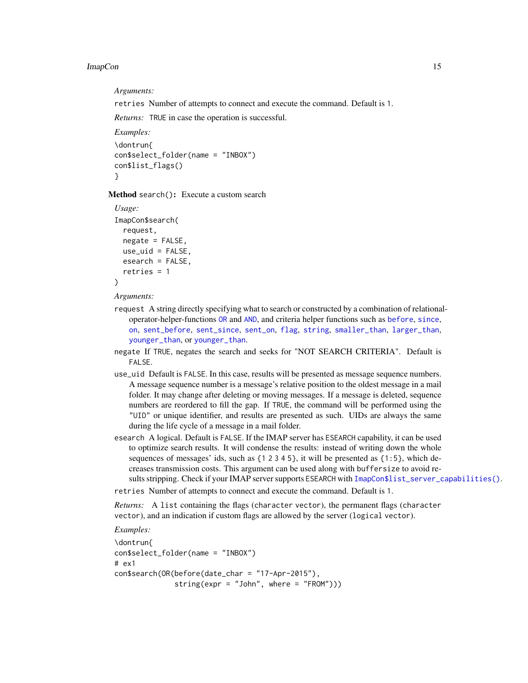<span id="page-14-1"></span>*Arguments:*

retries Number of attempts to connect and execute the command. Default is 1.

*Returns:* TRUE in case the operation is successful.

```
Examples:
\dontrun{
con$select_folder(name = "INBOX")
con$list_flags()
}
```
<span id="page-14-0"></span>Method search(): Execute a custom search

```
Usage:
ImapCon$search(
  request,
 negate = FALSE,
 use\_uid = FALSE,
 esearch = FALSE,
  retries = 1
)
```
*Arguments:*

- request A string directly specifying what to search or constructed by a combination of relationaloperator-helper-functions [OR](#page-57-1) and [AND](#page-2-1), and criteria helper functions such as [before](#page-3-1), [since](#page-61-1), [on](#page-56-1), [sent\\_before](#page-58-1), [sent\\_since](#page-60-1), [sent\\_on](#page-59-1), [flag](#page-7-1), [string](#page-62-2), [smaller\\_than](#page-62-1), [larger\\_than](#page-52-1), [younger\\_than](#page-63-1), or [younger\\_than](#page-63-1).
- negate If TRUE, negates the search and seeks for "NOT SEARCH CRITERIA". Default is FALSE.
- use\_uid Default is FALSE. In this case, results will be presented as message sequence numbers. A message sequence number is a message's relative position to the oldest message in a mail folder. It may change after deleting or moving messages. If a message is deleted, sequence numbers are reordered to fill the gap. If TRUE, the command will be performed using the "UID" or unique identifier, and results are presented as such. UIDs are always the same during the life cycle of a message in a mail folder.
- esearch A logical. Default is FALSE. If the IMAP server has ESEARCH capability, it can be used to optimize search results. It will condense the results: instead of writing down the whole sequences of messages' ids, such as  $\{1\ 2\ 3\ 4\ 5\}$ , it will be presented as  $\{1:5\}$ , which decreases transmission costs. This argument can be used along with buffersize to avoid results stripping. Check if your IMAP server supports ESEARCH with [ImapCon\\$list\\_server\\_capabilities\(\)](#page-11-3).

retries Number of attempts to connect and execute the command. Default is 1.

*Returns:* A list containing the flags (character vector), the permanent flags (character vector), and an indication if custom flags are allowed by the server (logical vector).

```
Examples:
\dontrun{
con$select_folder(name = "INBOX")
# ex1
con$search(OR(before(date_char = "17-Apr-2015"),
              string(expr = "John", where = "FROM")))
```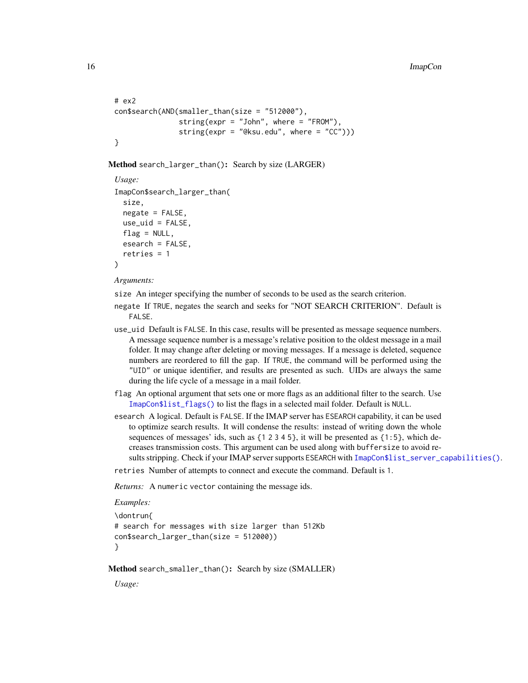```
# ex2
con$search(AND(smaller_than(size = "512000"),
                string(expr = "John", where = "FROM"),
                string(expr = "@ksu.edu", where = C^{\prime\prime})))
}
```
<span id="page-15-0"></span>Method search\_larger\_than(): Search by size (LARGER)

```
Usage:
ImapCon$search_larger_than(
  size,
  negate = FALSE,
 use\_uid = FALSE,flag = NULL,esearch = FALSE,
  retries = 1
)
```
*Arguments:*

size An integer specifying the number of seconds to be used as the search criterion.

- negate If TRUE, negates the search and seeks for "NOT SEARCH CRITERION". Default is FALSE.
- use\_uid Default is FALSE. In this case, results will be presented as message sequence numbers. A message sequence number is a message's relative position to the oldest message in a mail folder. It may change after deleting or moving messages. If a message is deleted, sequence numbers are reordered to fill the gap. If TRUE, the command will be performed using the "UID" or unique identifier, and results are presented as such. UIDs are always the same during the life cycle of a message in a mail folder.
- flag An optional argument that sets one or more flags as an additional filter to the search. Use [ImapCon\\$list\\_flags\(\)](#page-13-0) to list the flags in a selected mail folder. Default is NULL.
- esearch A logical. Default is FALSE. If the IMAP server has ESEARCH capability, it can be used to optimize search results. It will condense the results: instead of writing down the whole sequences of messages' ids, such as  $\{1\ 2\ 3\ 4\ 5\}$ , it will be presented as  $\{1:5\}$ , which decreases transmission costs. This argument can be used along with buffersize to avoid re-sults stripping. Check if your IMAP server supports ESEARCH with [ImapCon\\$list\\_server\\_capabilities\(\)](#page-11-3).

retries Number of attempts to connect and execute the command. Default is 1.

*Returns:* A numeric vector containing the message ids.

```
Examples:
```

```
\dontrun{
# search for messages with size larger than 512Kb
con$search_larger_than(size = 512000))
}
```
<span id="page-15-1"></span>Method search\_smaller\_than(): Search by size (SMALLER)

*Usage:*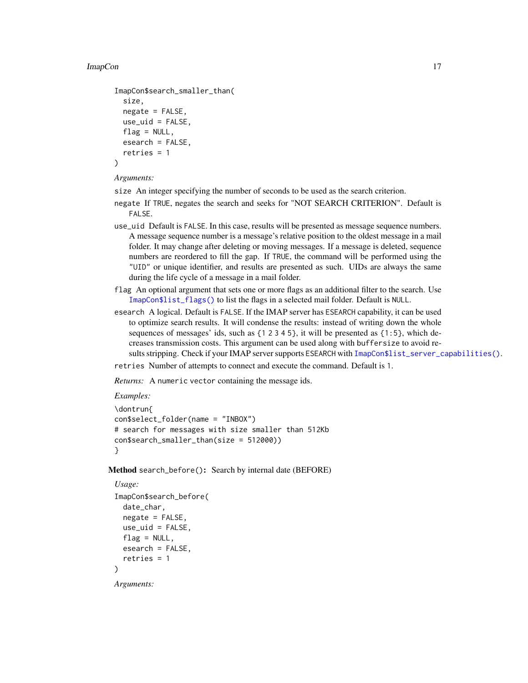#### ImapCon and the contract of the contract of the contract of the contract of the contract of the contract of the contract of the contract of the contract of the contract of the contract of the contract of the contract of th

```
ImapCon$search_smaller_than(
  size,
 negative = FALSE,use_uid = FALSE,
 flag = NULL,esearch = FALSE,
  retries = 1
)
```
#### *Arguments:*

- size An integer specifying the number of seconds to be used as the search criterion.
- negate If TRUE, negates the search and seeks for "NOT SEARCH CRITERION". Default is FALSE.
- use\_uid Default is FALSE. In this case, results will be presented as message sequence numbers. A message sequence number is a message's relative position to the oldest message in a mail folder. It may change after deleting or moving messages. If a message is deleted, sequence numbers are reordered to fill the gap. If TRUE, the command will be performed using the "UID" or unique identifier, and results are presented as such. UIDs are always the same during the life cycle of a message in a mail folder.
- flag An optional argument that sets one or more flags as an additional filter to the search. Use [ImapCon\\$list\\_flags\(\)](#page-13-0) to list the flags in a selected mail folder. Default is NULL.
- esearch A logical. Default is FALSE. If the IMAP server has ESEARCH capability, it can be used to optimize search results. It will condense the results: instead of writing down the whole sequences of messages' ids, such as  $\{1\ 2\ 3\ 4\ 5\}$ , it will be presented as  $\{1:5\}$ , which decreases transmission costs. This argument can be used along with buffersize to avoid results stripping. Check if your IMAP server supports ESEARCH with [ImapCon\\$list\\_server\\_capabilities\(\)](#page-11-3).
- retries Number of attempts to connect and execute the command. Default is 1.

*Returns:* A numeric vector containing the message ids.

#### *Examples:*

```
\dontrun{
con$select_folder(name = "INBOX")
# search for messages with size smaller than 512Kb
con$search_smaller_than(size = 512000))
}
```
<span id="page-16-0"></span>Method search\_before(): Search by internal date (BEFORE)

```
Usage:
ImapCon$search_before(
 date_char,
 negate = FALSE,
 use\_uid = FALSE,flag = NULL,esearch = FALSE,
  retries = 1
)
```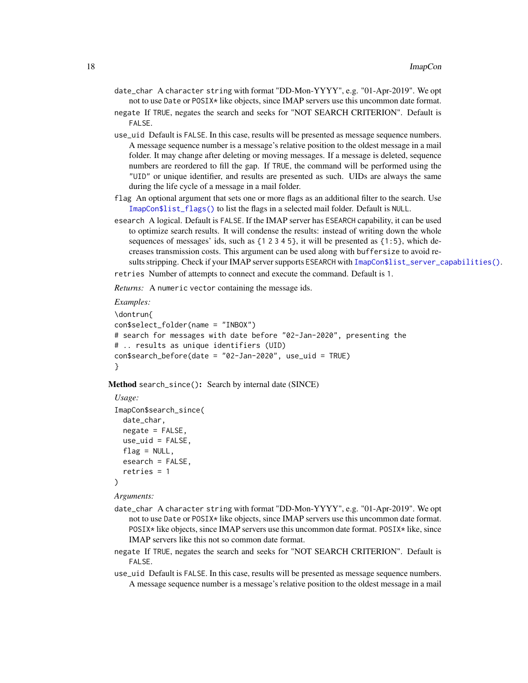- date\_char A character string with format "DD-Mon-YYYY", e.g. "01-Apr-2019". We opt not to use Date or POSIX\* like objects, since IMAP servers use this uncommon date format.
- negate If TRUE, negates the search and seeks for "NOT SEARCH CRITERION". Default is FALSE.
- use\_uid Default is FALSE. In this case, results will be presented as message sequence numbers. A message sequence number is a message's relative position to the oldest message in a mail folder. It may change after deleting or moving messages. If a message is deleted, sequence numbers are reordered to fill the gap. If TRUE, the command will be performed using the "UID" or unique identifier, and results are presented as such. UIDs are always the same during the life cycle of a message in a mail folder.
- flag An optional argument that sets one or more flags as an additional filter to the search. Use [ImapCon\\$list\\_flags\(\)](#page-13-0) to list the flags in a selected mail folder. Default is NULL.
- esearch A logical. Default is FALSE. If the IMAP server has ESEARCH capability, it can be used to optimize search results. It will condense the results: instead of writing down the whole sequences of messages' ids, such as  $\{1\ 2\ 3\ 4\ 5\}$ , it will be presented as  $\{1:5\}$ , which decreases transmission costs. This argument can be used along with buffersize to avoid re-sults stripping. Check if your IMAP server supports ESEARCH with [ImapCon\\$list\\_server\\_capabilities\(\)](#page-11-3).

retries Number of attempts to connect and execute the command. Default is 1.

*Returns:* A numeric vector containing the message ids.

#### *Examples:*

```
\dontrun{
con$select_folder(name = "INBOX")
# search for messages with date before "02-Jan-2020", presenting the
# .. results as unique identifiers (UID)
con$search_before(date = "02-Jan-2020", use_uid = TRUE)
}
```
<span id="page-17-0"></span>Method search\_since(): Search by internal date (SINCE)

```
Usage:
ImapCon$search_since(
 date_char,
 negate = FALSE,use\_uid = FALSE,flag = NULL,esearch = FALSE,
  retries = 1
)
```
- date\_char A character string with format "DD-Mon-YYYY", e.g. "01-Apr-2019". We opt not to use Date or POSIX\* like objects, since IMAP servers use this uncommon date format. POSIX\* like objects, since IMAP servers use this uncommon date format. POSIX\* like, since IMAP servers like this not so common date format.
- negate If TRUE, negates the search and seeks for "NOT SEARCH CRITERION". Default is FALSE.
- use\_uid Default is FALSE. In this case, results will be presented as message sequence numbers. A message sequence number is a message's relative position to the oldest message in a mail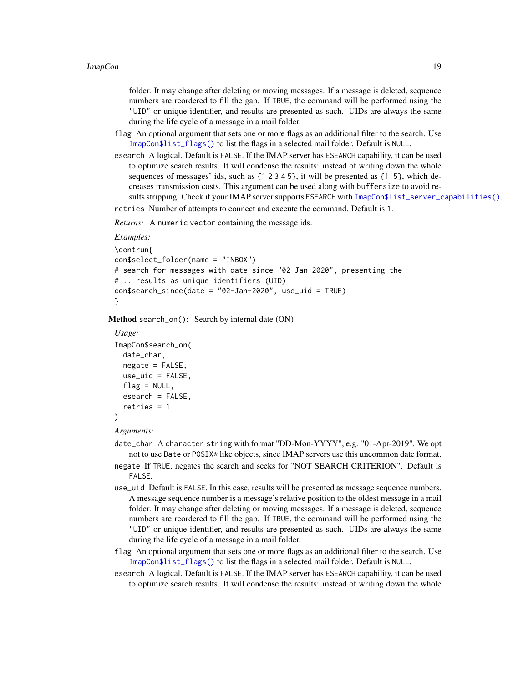folder. It may change after deleting or moving messages. If a message is deleted, sequence numbers are reordered to fill the gap. If TRUE, the command will be performed using the "UID" or unique identifier, and results are presented as such. UIDs are always the same during the life cycle of a message in a mail folder.

- flag An optional argument that sets one or more flags as an additional filter to the search. Use [ImapCon\\$list\\_flags\(\)](#page-13-0) to list the flags in a selected mail folder. Default is NULL.
- esearch A logical. Default is FALSE. If the IMAP server has ESEARCH capability, it can be used to optimize search results. It will condense the results: instead of writing down the whole sequences of messages' ids, such as  $\{1\ 2\ 3\ 4\ 5\}$ , it will be presented as  $\{1:5\}$ , which decreases transmission costs. This argument can be used along with buffersize to avoid results stripping. Check if your IMAP server supports ESEARCH with [ImapCon\\$list\\_server\\_capabilities\(\)](#page-11-3).
- retries Number of attempts to connect and execute the command. Default is 1.

*Returns:* A numeric vector containing the message ids.

#### *Examples:*

```
\dontrun{
con$select_folder(name = "INBOX")
# search for messages with date since "02-Jan-2020", presenting the
# .. results as unique identifiers (UID)
con$search_since(date = "02-Jan-2020", use_uid = TRUE)
}
```
<span id="page-18-0"></span>Method search\_on(): Search by internal date (ON)

```
Usage:
ImapCon$search_on(
  date_char,
 negate = FALSE,use\_uid = FALSE,flag = NULL,esearch = FALSE,
  retries = 1
)
```
- date\_char A character string with format "DD-Mon-YYYY", e.g. "01-Apr-2019". We opt not to use Date or POSIX\* like objects, since IMAP servers use this uncommon date format.
- negate If TRUE, negates the search and seeks for "NOT SEARCH CRITERION". Default is FALSE.
- use\_uid Default is FALSE. In this case, results will be presented as message sequence numbers. A message sequence number is a message's relative position to the oldest message in a mail folder. It may change after deleting or moving messages. If a message is deleted, sequence numbers are reordered to fill the gap. If TRUE, the command will be performed using the "UID" or unique identifier, and results are presented as such. UIDs are always the same during the life cycle of a message in a mail folder.
- flag An optional argument that sets one or more flags as an additional filter to the search. Use [ImapCon\\$list\\_flags\(\)](#page-13-0) to list the flags in a selected mail folder. Default is NULL.
- esearch A logical. Default is FALSE. If the IMAP server has ESEARCH capability, it can be used to optimize search results. It will condense the results: instead of writing down the whole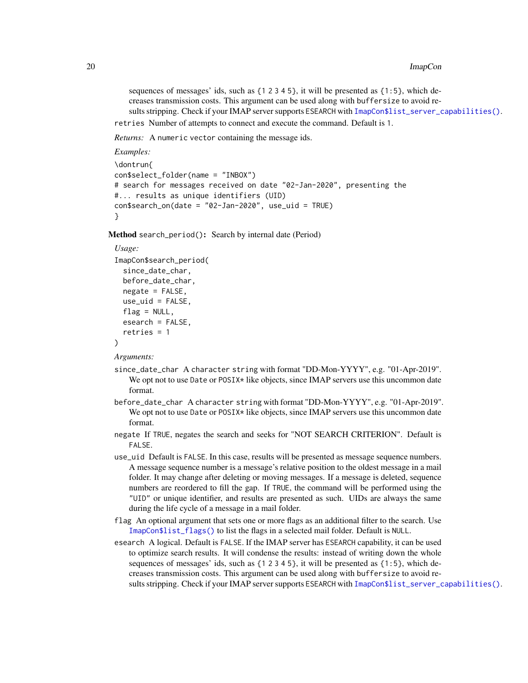sequences of messages' ids, such as  $\{1\ 2\ 3\ 4\ 5\}$ , it will be presented as  $\{1:5\}$ , which decreases transmission costs. This argument can be used along with buffersize to avoid re-sults stripping. Check if your IMAP server supports ESEARCH with [ImapCon\\$list\\_server\\_capabilities\(\)](#page-11-3).

retries Number of attempts to connect and execute the command. Default is 1.

*Returns:* A numeric vector containing the message ids.

*Examples:*

```
\dontrun{
con$select_folder(name = "INBOX")
# search for messages received on date "02-Jan-2020", presenting the
#... results as unique identifiers (UID)
con$search_on(date = "02-Jan-2020", use_uid = TRUE)
}
```
<span id="page-19-0"></span>Method search\_period(): Search by internal date (Period)

#### *Usage:*

```
ImapCon$search_period(
  since_date_char,
 before_date_char,
 negative = FALSE,
 use_uid = FALSE,
 flag = NULL,esearch = FALSE,
  retries = 1
)
```
- since\_date\_char A character string with format "DD-Mon-YYYY", e.g. "01-Apr-2019". We opt not to use Date or POSIX\* like objects, since IMAP servers use this uncommon date format.
- before\_date\_char A character string with format "DD-Mon-YYYY", e.g. "01-Apr-2019". We opt not to use Date or POSIX\* like objects, since IMAP servers use this uncommon date format.
- negate If TRUE, negates the search and seeks for "NOT SEARCH CRITERION". Default is FALSE.
- use\_uid Default is FALSE. In this case, results will be presented as message sequence numbers. A message sequence number is a message's relative position to the oldest message in a mail folder. It may change after deleting or moving messages. If a message is deleted, sequence numbers are reordered to fill the gap. If TRUE, the command will be performed using the "UID" or unique identifier, and results are presented as such. UIDs are always the same during the life cycle of a message in a mail folder.
- flag An optional argument that sets one or more flags as an additional filter to the search. Use [ImapCon\\$list\\_flags\(\)](#page-13-0) to list the flags in a selected mail folder. Default is NULL.
- esearch A logical. Default is FALSE. If the IMAP server has ESEARCH capability, it can be used to optimize search results. It will condense the results: instead of writing down the whole sequences of messages' ids, such as  $\{1\ 2\ 3\ 4\ 5\}$ , it will be presented as  $\{1:5\}$ , which decreases transmission costs. This argument can be used along with buffersize to avoid re-sults stripping. Check if your IMAP server supports ESEARCH with [ImapCon\\$list\\_server\\_capabilities\(\)](#page-11-3).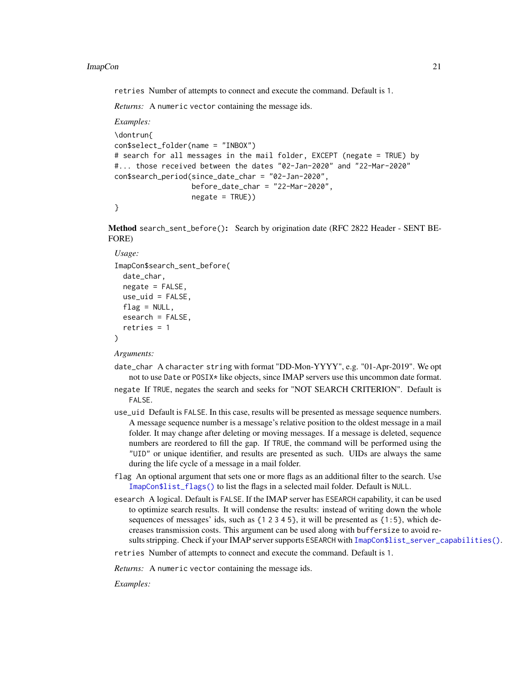retries Number of attempts to connect and execute the command. Default is 1.

*Returns:* A numeric vector containing the message ids.

*Examples:*

```
\dontrun{
con$select_folder(name = "INBOX")
# search for all messages in the mail folder, EXCEPT (negate = TRUE) by
#... those received between the dates "02-Jan-2020" and "22-Mar-2020"
con$search_period(since_date_char = "02-Jan-2020",
                  before_date_char = "22-Mar-2020"negate = TRUE))
}
```
<span id="page-20-0"></span>Method search\_sent\_before(): Search by origination date (RFC 2822 Header - SENT BE-FORE)

#### *Usage:*

```
ImapCon$search_sent_before(
 date_char,
 negative = FALSE,use\_uid = FALSE,flag = NULL,esearch = FALSE,
  retries = 1
)
```
*Arguments:*

- date\_char A character string with format "DD-Mon-YYYY", e.g. "01-Apr-2019". We opt not to use Date or POSIX\* like objects, since IMAP servers use this uncommon date format.
- negate If TRUE, negates the search and seeks for "NOT SEARCH CRITERION". Default is FALSE.
- use\_uid Default is FALSE. In this case, results will be presented as message sequence numbers. A message sequence number is a message's relative position to the oldest message in a mail folder. It may change after deleting or moving messages. If a message is deleted, sequence numbers are reordered to fill the gap. If TRUE, the command will be performed using the "UID" or unique identifier, and results are presented as such. UIDs are always the same during the life cycle of a message in a mail folder.
- flag An optional argument that sets one or more flags as an additional filter to the search. Use [ImapCon\\$list\\_flags\(\)](#page-13-0) to list the flags in a selected mail folder. Default is NULL.
- esearch A logical. Default is FALSE. If the IMAP server has ESEARCH capability, it can be used to optimize search results. It will condense the results: instead of writing down the whole sequences of messages' ids, such as  $\{1\ 2\ 3\ 4\ 5\}$ , it will be presented as  $\{1:5\}$ , which decreases transmission costs. This argument can be used along with buffersize to avoid re-sults stripping. Check if your IMAP server supports ESEARCH with [ImapCon\\$list\\_server\\_capabilities\(\)](#page-11-3).

retries Number of attempts to connect and execute the command. Default is 1.

*Returns:* A numeric vector containing the message ids.

*Examples:*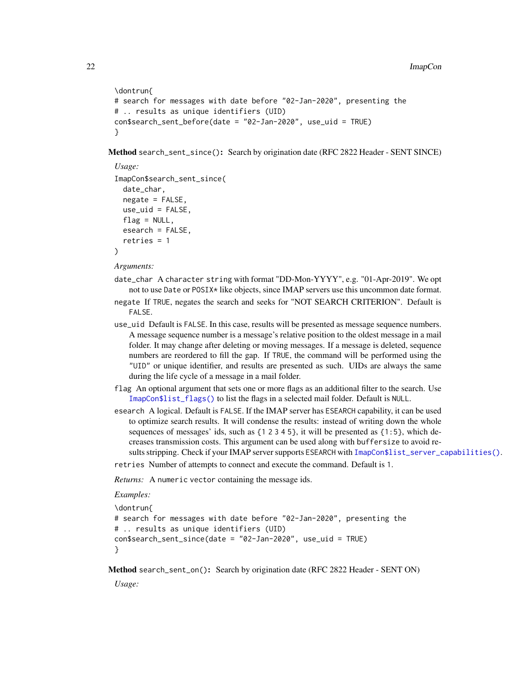```
\dontrun{
# search for messages with date before "02-Jan-2020", presenting the
# .. results as unique identifiers (UID)
con$search_sent_before(date = "02-Jan-2020", use_uid = TRUE)
}
```
<span id="page-21-0"></span>Method search\_sent\_since(): Search by origination date (RFC 2822 Header - SENT SINCE)

```
Usage:
ImapCon$search_sent_since(
 date_char,
 negative = FALSE,use\_uid = FALSE,flag = NULL,
 esearch = FALSE.
  retries = 1
)
```
*Arguments:*

- date\_char A character string with format "DD-Mon-YYYY", e.g. "01-Apr-2019". We opt not to use Date or POSIX\* like objects, since IMAP servers use this uncommon date format.
- negate If TRUE, negates the search and seeks for "NOT SEARCH CRITERION". Default is FALSE.
- use\_uid Default is FALSE. In this case, results will be presented as message sequence numbers. A message sequence number is a message's relative position to the oldest message in a mail folder. It may change after deleting or moving messages. If a message is deleted, sequence numbers are reordered to fill the gap. If TRUE, the command will be performed using the "UID" or unique identifier, and results are presented as such. UIDs are always the same during the life cycle of a message in a mail folder.
- flag An optional argument that sets one or more flags as an additional filter to the search. Use [ImapCon\\$list\\_flags\(\)](#page-13-0) to list the flags in a selected mail folder. Default is NULL.
- esearch A logical. Default is FALSE. If the IMAP server has ESEARCH capability, it can be used to optimize search results. It will condense the results: instead of writing down the whole sequences of messages' ids, such as  $\{1\ 2\ 3\ 4\ 5\}$ , it will be presented as  $\{1:5\}$ , which decreases transmission costs. This argument can be used along with buffersize to avoid results stripping. Check if your IMAP server supports ESEARCH with [ImapCon\\$list\\_server\\_capabilities\(\)](#page-11-3).

retries Number of attempts to connect and execute the command. Default is 1.

*Returns:* A numeric vector containing the message ids.

```
Examples:
```

```
\dontrun{
# search for messages with date before "02-Jan-2020", presenting the
# .. results as unique identifiers (UID)
con$search_sent_since(date = "02-Jan-2020", use_uid = TRUE)
}
```
<span id="page-21-1"></span>Method search\_sent\_on(): Search by origination date (RFC 2822 Header - SENT ON)

*Usage:*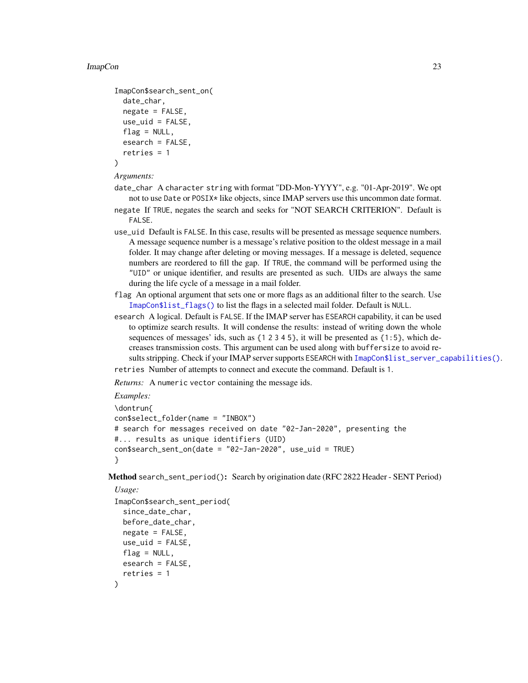```
ImapCon$search_sent_on(
 date_char,
 negative = FALSE,use_uid = FALSE,
 flag = NULL,esearch = FALSE,
  retries = 1
)
```
#### *Arguments:*

- date\_char A character string with format "DD-Mon-YYYY", e.g. "01-Apr-2019". We opt not to use Date or POSIX\* like objects, since IMAP servers use this uncommon date format.
- negate If TRUE, negates the search and seeks for "NOT SEARCH CRITERION". Default is FALSE.
- use\_uid Default is FALSE. In this case, results will be presented as message sequence numbers. A message sequence number is a message's relative position to the oldest message in a mail folder. It may change after deleting or moving messages. If a message is deleted, sequence numbers are reordered to fill the gap. If TRUE, the command will be performed using the "UID" or unique identifier, and results are presented as such. UIDs are always the same during the life cycle of a message in a mail folder.
- flag An optional argument that sets one or more flags as an additional filter to the search. Use [ImapCon\\$list\\_flags\(\)](#page-13-0) to list the flags in a selected mail folder. Default is NULL.
- esearch A logical. Default is FALSE. If the IMAP server has ESEARCH capability, it can be used to optimize search results. It will condense the results: instead of writing down the whole sequences of messages' ids, such as  $\{1\ 2\ 3\ 4\ 5\}$ , it will be presented as  $\{1:5\}$ , which decreases transmission costs. This argument can be used along with buffersize to avoid re-sults stripping. Check if your IMAP server supports ESEARCH with [ImapCon\\$list\\_server\\_capabilities\(\)](#page-11-3).
- retries Number of attempts to connect and execute the command. Default is 1.

*Returns:* A numeric vector containing the message ids.

```
Examples:
```

```
\dontrun{
con$select_folder(name = "INBOX")
# search for messages received on date "02-Jan-2020", presenting the
#... results as unique identifiers (UID)
con$search_sent_on(date = "02-Jan-2020", use_uid = TRUE)
}
```
<span id="page-22-0"></span>Method search\_sent\_period(): Search by origination date (RFC 2822 Header - SENT Period)

```
Usage:
ImapCon$search_sent_period(
  since_date_char,
 before_date_char,
  negative = FALSE,use_uid = FALSE,
  flag = NULL,
  esearch = FALSE,
  retries = 1
)
```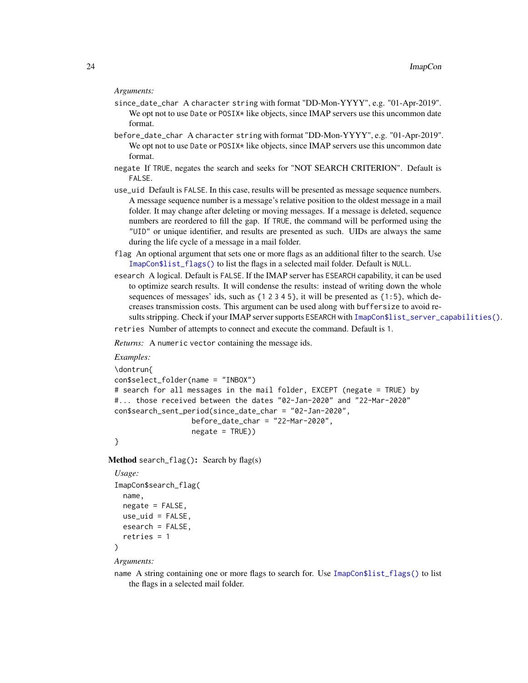#### *Arguments:*

- since\_date\_char A character string with format "DD-Mon-YYYY", e.g. "01-Apr-2019". We opt not to use Date or POSIX\* like objects, since IMAP servers use this uncommon date format.
- before\_date\_char A character string with format "DD-Mon-YYYY", e.g. "01-Apr-2019". We opt not to use Date or POSIX\* like objects, since IMAP servers use this uncommon date format.
- negate If TRUE, negates the search and seeks for "NOT SEARCH CRITERION". Default is FALSE.
- use\_uid Default is FALSE. In this case, results will be presented as message sequence numbers. A message sequence number is a message's relative position to the oldest message in a mail folder. It may change after deleting or moving messages. If a message is deleted, sequence numbers are reordered to fill the gap. If TRUE, the command will be performed using the "UID" or unique identifier, and results are presented as such. UIDs are always the same during the life cycle of a message in a mail folder.
- flag An optional argument that sets one or more flags as an additional filter to the search. Use [ImapCon\\$list\\_flags\(\)](#page-13-0) to list the flags in a selected mail folder. Default is NULL.
- esearch A logical. Default is FALSE. If the IMAP server has ESEARCH capability, it can be used to optimize search results. It will condense the results: instead of writing down the whole sequences of messages' ids, such as  $\{1\ 2\ 3\ 4\ 5\}$ , it will be presented as  $\{1:5\}$ , which decreases transmission costs. This argument can be used along with buffersize to avoid re-sults stripping. Check if your IMAP server supports ESEARCH with [ImapCon\\$list\\_server\\_capabilities\(\)](#page-11-3).

retries Number of attempts to connect and execute the command. Default is 1.

*Returns:* A numeric vector containing the message ids.

*Examples:*

```
\dontrun{
con$select_folder(name = "INBOX")
# search for all messages in the mail folder, EXCEPT (negate = TRUE) by
#... those received between the dates "02-Jan-2020" and "22-Mar-2020"
con$search_sent_period(since_date_char = "02-Jan-2020",
                  before_date_char = "22-Mar-2020",
                  negative = TRUE))
```

```
}
```
<span id="page-23-0"></span>Method search\_flag(): Search by flag(s)

```
Usage:
ImapCon$search_flag(
 name,
 negative = FALSE,
 use\_uid = FALSE,
 esearch = FALSE,
  retries = 1
)
```
*Arguments:*

name A string containing one or more flags to search for. Use [ImapCon\\$list\\_flags\(\)](#page-13-0) to list the flags in a selected mail folder.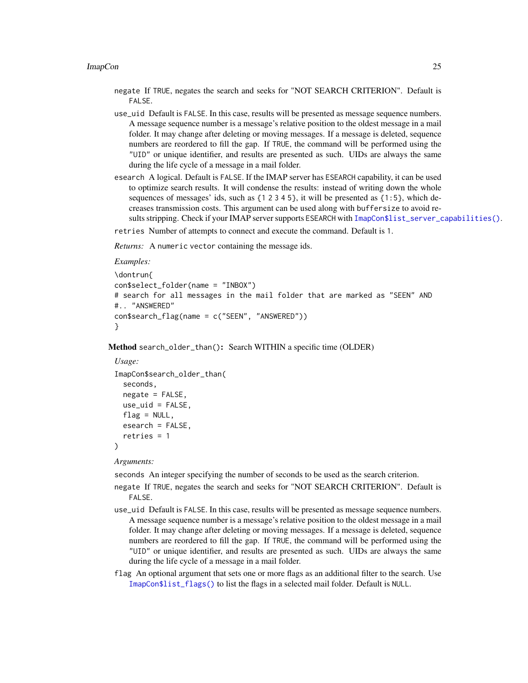- negate If TRUE, negates the search and seeks for "NOT SEARCH CRITERION". Default is FALSE.
- use\_uid Default is FALSE. In this case, results will be presented as message sequence numbers. A message sequence number is a message's relative position to the oldest message in a mail folder. It may change after deleting or moving messages. If a message is deleted, sequence numbers are reordered to fill the gap. If TRUE, the command will be performed using the "UID" or unique identifier, and results are presented as such. UIDs are always the same during the life cycle of a message in a mail folder.
- esearch A logical. Default is FALSE. If the IMAP server has ESEARCH capability, it can be used to optimize search results. It will condense the results: instead of writing down the whole sequences of messages' ids, such as  $\{1\ 2\ 3\ 4\ 5\}$ , it will be presented as  $\{1:5\}$ , which decreases transmission costs. This argument can be used along with buffersize to avoid re-sults stripping. Check if your IMAP server supports ESEARCH with [ImapCon\\$list\\_server\\_capabilities\(\)](#page-11-3).
- retries Number of attempts to connect and execute the command. Default is 1.

*Returns:* A numeric vector containing the message ids.

```
Examples:
\dontrun{
con$select_folder(name = "INBOX")
# search for all messages in the mail folder that are marked as "SEEN" AND
#.. "ANSWERED"
con$search_flag(name = c("SEEN", "ANSWERED"))
}
```
<span id="page-24-0"></span>Method search\_older\_than(): Search WITHIN a specific time (OLDER)

```
Usage:
ImapCon$search_older_than(
 seconds,
 negate = FALSE,
 use\_uid = FALSE,flag = NULL,esearch = FALSE,
  retries = 1
)
```
*Arguments:*

seconds An integer specifying the number of seconds to be used as the search criterion.

- negate If TRUE, negates the search and seeks for "NOT SEARCH CRITERION". Default is FALSE.
- use\_uid Default is FALSE. In this case, results will be presented as message sequence numbers. A message sequence number is a message's relative position to the oldest message in a mail folder. It may change after deleting or moving messages. If a message is deleted, sequence numbers are reordered to fill the gap. If TRUE, the command will be performed using the "UID" or unique identifier, and results are presented as such. UIDs are always the same during the life cycle of a message in a mail folder.
- flag An optional argument that sets one or more flags as an additional filter to the search. Use [ImapCon\\$list\\_flags\(\)](#page-13-0) to list the flags in a selected mail folder. Default is NULL.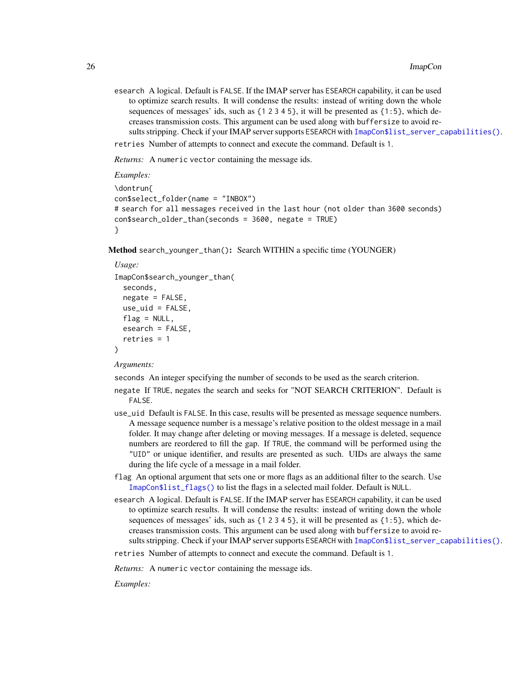esearch A logical. Default is FALSE. If the IMAP server has ESEARCH capability, it can be used to optimize search results. It will condense the results: instead of writing down the whole sequences of messages' ids, such as  $\{1\ 2\ 3\ 4\ 5\}$ , it will be presented as  $\{1:5\}$ , which decreases transmission costs. This argument can be used along with buffersize to avoid re-sults stripping. Check if your IMAP server supports ESEARCH with [ImapCon\\$list\\_server\\_capabilities\(\)](#page-11-3).

retries Number of attempts to connect and execute the command. Default is 1.

*Returns:* A numeric vector containing the message ids.

```
Examples:
\dontrun{
con$select_folder(name = "INBOX")
# search for all messages received in the last hour (not older than 3600 seconds)
con$search_older_than(seconds = 3600, negate = TRUE)
}
```
<span id="page-25-0"></span>Method search\_younger\_than(): Search WITHIN a specific time (YOUNGER)

#### *Usage:*

```
ImapCon$search_younger_than(
  seconds,
 negate = FALSE,
 use\_uid = FALSE,flag = NULL,esearch = FALSE,
  retries = 1)
```
*Arguments:*

seconds An integer specifying the number of seconds to be used as the search criterion.

- negate If TRUE, negates the search and seeks for "NOT SEARCH CRITERION". Default is FALSE.
- use\_uid Default is FALSE. In this case, results will be presented as message sequence numbers. A message sequence number is a message's relative position to the oldest message in a mail folder. It may change after deleting or moving messages. If a message is deleted, sequence numbers are reordered to fill the gap. If TRUE, the command will be performed using the "UID" or unique identifier, and results are presented as such. UIDs are always the same during the life cycle of a message in a mail folder.
- flag An optional argument that sets one or more flags as an additional filter to the search. Use [ImapCon\\$list\\_flags\(\)](#page-13-0) to list the flags in a selected mail folder. Default is NULL.
- esearch A logical. Default is FALSE. If the IMAP server has ESEARCH capability, it can be used to optimize search results. It will condense the results: instead of writing down the whole sequences of messages' ids, such as  $\{1\ 2\ 3\ 4\ 5\}$ , it will be presented as  $\{1:5\}$ , which decreases transmission costs. This argument can be used along with buffersize to avoid re-sults stripping. Check if your IMAP server supports ESEARCH with [ImapCon\\$list\\_server\\_capabilities\(\)](#page-11-3).

retries Number of attempts to connect and execute the command. Default is 1.

*Returns:* A numeric vector containing the message ids.

*Examples:*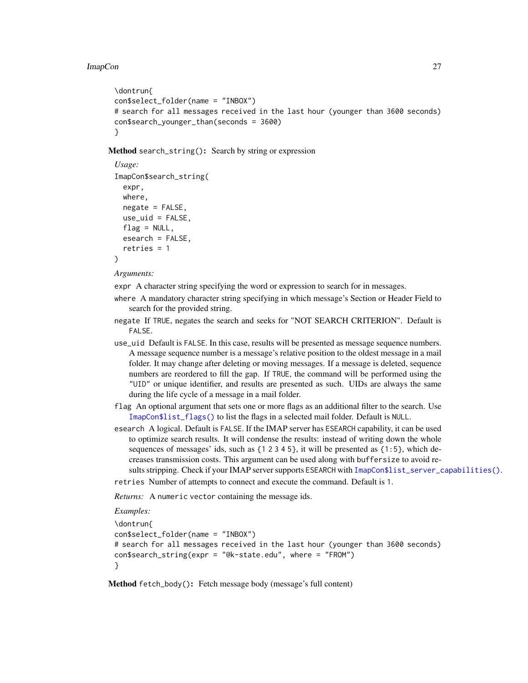```
\dontrun{
con$select_folder(name = "INBOX")
# search for all messages received in the last hour (younger than 3600 seconds)
con$search_younger_than(seconds = 3600)
}
```
<span id="page-26-1"></span>Method search\_string(): Search by string or expression

```
Usage:
ImapCon$search_string(
 expr,
 where,
 negate = FALSE,
 use\_uid = FALSE,flag = NULL,esearch = FALSE,
  retries = 1
)
```
*Arguments:*

expr A character string specifying the word or expression to search for in messages.

- where A mandatory character string specifying in which message's Section or Header Field to search for the provided string.
- negate If TRUE, negates the search and seeks for "NOT SEARCH CRITERION". Default is FALSE.
- use\_uid Default is FALSE. In this case, results will be presented as message sequence numbers. A message sequence number is a message's relative position to the oldest message in a mail folder. It may change after deleting or moving messages. If a message is deleted, sequence numbers are reordered to fill the gap. If TRUE, the command will be performed using the "UID" or unique identifier, and results are presented as such. UIDs are always the same during the life cycle of a message in a mail folder.
- flag An optional argument that sets one or more flags as an additional filter to the search. Use [ImapCon\\$list\\_flags\(\)](#page-13-0) to list the flags in a selected mail folder. Default is NULL.
- esearch A logical. Default is FALSE. If the IMAP server has ESEARCH capability, it can be used to optimize search results. It will condense the results: instead of writing down the whole sequences of messages' ids, such as  $\{1\ 2\ 3\ 4\ 5\}$ , it will be presented as  $\{1:5\}$ , which decreases transmission costs. This argument can be used along with buffersize to avoid re-sults stripping. Check if your IMAP server supports ESEARCH with [ImapCon\\$list\\_server\\_capabilities\(\)](#page-11-3).

retries Number of attempts to connect and execute the command. Default is 1.

*Returns:* A numeric vector containing the message ids.

```
Examples:
```

```
\dontrun{
con$select_folder(name = "INBOX")
# search for all messages received in the last hour (younger than 3600 seconds)
con$search_string(expr = "@k-state.edu", where = "FROM")
}
```
<span id="page-26-0"></span>Method fetch\_body(): Fetch message body (message's full content)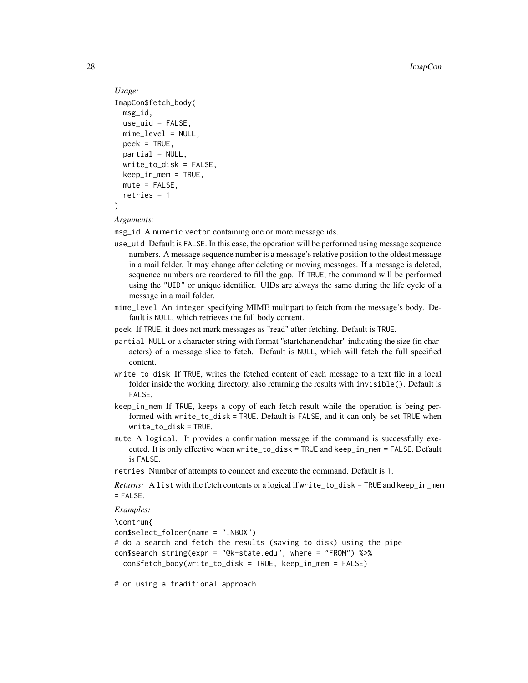```
Usage:
ImapCon$fetch_body(
 msg_id,
 use\_uid = FALSE,mime_level = NULL,
 peek = TRUE,
 partial = NULL,
 write_to_disk = FALSE,
 keep_in_mem = TRUE,
 mute = FALSE,
  retries = 1
)
```
*Arguments:*

msg\_id A numeric vector containing one or more message ids.

- use\_uid Default is FALSE. In this case, the operation will be performed using message sequence numbers. A message sequence number is a message's relative position to the oldest message in a mail folder. It may change after deleting or moving messages. If a message is deleted, sequence numbers are reordered to fill the gap. If TRUE, the command will be performed using the "UID" or unique identifier. UIDs are always the same during the life cycle of a message in a mail folder.
- mime\_level An integer specifying MIME multipart to fetch from the message's body. Default is NULL, which retrieves the full body content.
- peek If TRUE, it does not mark messages as "read" after fetching. Default is TRUE.
- partial NULL or a character string with format "startchar.endchar" indicating the size (in characters) of a message slice to fetch. Default is NULL, which will fetch the full specified content.
- write\_to\_disk If TRUE, writes the fetched content of each message to a text file in a local folder inside the working directory, also returning the results with invisible(). Default is FALSE.
- keep\_in\_mem If TRUE, keeps a copy of each fetch result while the operation is being performed with write\_to\_disk = TRUE. Default is FALSE, and it can only be set TRUE when write\_to\_disk = TRUE.
- mute A logical. It provides a confirmation message if the command is successfully executed. It is only effective when write\_to\_disk = TRUE and keep\_in\_mem = FALSE. Default is FALSE.
- retries Number of attempts to connect and execute the command. Default is 1.

*Returns:* A list with the fetch contents or a logical if write\_to\_disk = TRUE and keep\_in\_mem  $=$  FALSE.

*Examples:*

\dontrun{ con\$select\_folder(name = "INBOX") # do a search and fetch the results (saving to disk) using the pipe con\$search\_string(expr = "@k-state.edu", where = "FROM") %>% con\$fetch\_body(write\_to\_disk = TRUE, keep\_in\_mem = FALSE)

# or using a traditional approach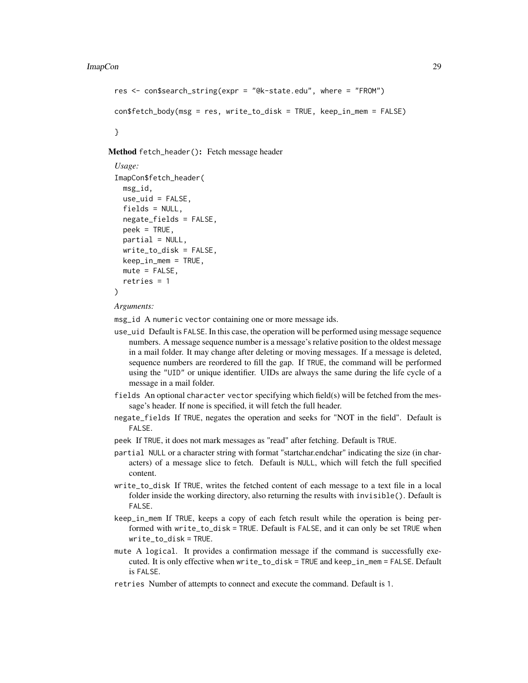```
res <- con$search_string(expr = "@k-state.edu", where = "FROM")
conf fetch\_body(msg = res, write_to\_disk = TRUE, keep_in_mean = FALSE)
```
}

<span id="page-28-0"></span>Method fetch\_header(): Fetch message header

```
Usage:
ImapCon$fetch_header(
 msg_id,
 use\_uid = FALSE,
  fields = NULL,
  negate_fields = FALSE,
  peek = TRUE,partial = NULL,
 write_to_disk = FALSE,
 keep_in_mem = TRUE,
 mute = FALSE,
  retries = 1
)
```
*Arguments:*

- use\_uid Default is FALSE. In this case, the operation will be performed using message sequence numbers. A message sequence number is a message's relative position to the oldest message in a mail folder. It may change after deleting or moving messages. If a message is deleted, sequence numbers are reordered to fill the gap. If TRUE, the command will be performed using the "UID" or unique identifier. UIDs are always the same during the life cycle of a message in a mail folder.
- fields An optional character vector specifying which field(s) will be fetched from the message's header. If none is specified, it will fetch the full header.
- negate\_fields If TRUE, negates the operation and seeks for "NOT in the field". Default is FALSE.
- peek If TRUE, it does not mark messages as "read" after fetching. Default is TRUE.
- partial NULL or a character string with format "startchar.endchar" indicating the size (in characters) of a message slice to fetch. Default is NULL, which will fetch the full specified content.
- write\_to\_disk If TRUE, writes the fetched content of each message to a text file in a local folder inside the working directory, also returning the results with invisible(). Default is FALSE.
- keep\_in\_mem If TRUE, keeps a copy of each fetch result while the operation is being performed with write\_to\_disk = TRUE. Default is FALSE, and it can only be set TRUE when write\_to\_disk = TRUE.
- mute A logical. It provides a confirmation message if the command is successfully executed. It is only effective when write\_to\_disk = TRUE and keep\_in\_mem = FALSE. Default is FALSE.
- retries Number of attempts to connect and execute the command. Default is 1.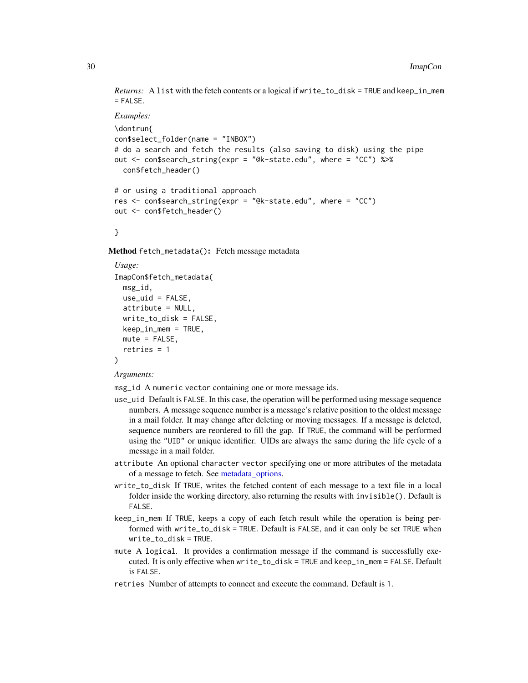<span id="page-29-1"></span>*Returns:* A list with the fetch contents or a logical if write\_to\_disk = TRUE and keep\_in\_mem  $=$  FALSE.

```
Examples:
 \dontrun{
 con$select_folder(name = "INBOX")
 # do a search and fetch the results (also saving to disk) using the pipe
 out <- con$search_string(expr = "@k-state.edu", where = "CC") %>%
   con$fetch_header()
 # or using a traditional approach
 res <- con$search_string(expr = "@k-state.edu", where = "CC")
 out <- con$fetch_header()
 }
Method fetch_metadata(): Fetch message metadata
```

```
Usage:
ImapCon$fetch_metadata(
 msg_id,
 use\_uid = FALSE,attribute = NULL,
 write_to_disk = FALSE,
 keep_in_mem = TRUE,
 mute = FALSE,retries = 1
)
```
*Arguments:*

- use\_uid Default is FALSE. In this case, the operation will be performed using message sequence numbers. A message sequence number is a message's relative position to the oldest message in a mail folder. It may change after deleting or moving messages. If a message is deleted, sequence numbers are reordered to fill the gap. If TRUE, the command will be performed using the "UID" or unique identifier. UIDs are always the same during the life cycle of a message in a mail folder.
- attribute An optional character vector specifying one or more attributes of the metadata of a message to fetch. See [metadata\\_options.](#page-54-1)
- write\_to\_disk If TRUE, writes the fetched content of each message to a text file in a local folder inside the working directory, also returning the results with invisible(). Default is FALSE.
- keep\_in\_mem If TRUE, keeps a copy of each fetch result while the operation is being performed with write\_to\_disk = TRUE. Default is FALSE, and it can only be set TRUE when write\_to\_disk = TRUE.
- mute A logical. It provides a confirmation message if the command is successfully executed. It is only effective when write\_to\_disk = TRUE and keep\_in\_mem = FALSE. Default is FALSE.
- retries Number of attempts to connect and execute the command. Default is 1.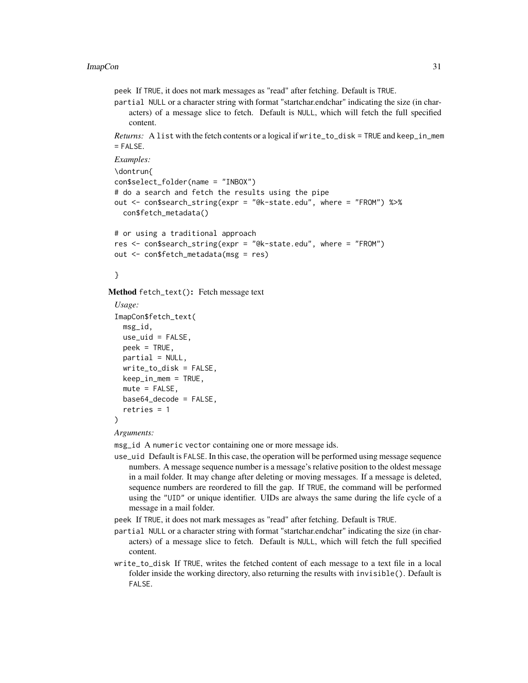peek If TRUE, it does not mark messages as "read" after fetching. Default is TRUE.

partial NULL or a character string with format "startchar.endchar" indicating the size (in characters) of a message slice to fetch. Default is NULL, which will fetch the full specified content.

*Returns:* A list with the fetch contents or a logical if write\_to\_disk = TRUE and keep\_in\_mem  $=$  FALSE.

```
Examples:
\dontrun{
con$select_folder(name = "INBOX")
# do a search and fetch the results using the pipe
out <- con$search_string(expr = "@k-state.edu", where = "FROM") %>%
  con$fetch_metadata()
# or using a traditional approach
```

```
res <- con$search_string(expr = "@k-state.edu", where = "FROM")
out <- con$fetch_metadata(msg = res)
```
}

<span id="page-30-0"></span>Method fetch\_text(): Fetch message text

```
Usage:
ImapCon$fetch_text(
 msg_id,
 use\_uid = FALSE,peek = TRUE,
 partial = NULL,
 write_to_disk = FALSE,
 keep_in_mem = TRUE,
 mute = FALSE,base64_decode = FALSE,
  retries = 1
)
```
#### *Arguments:*

- use\_uid Default is FALSE. In this case, the operation will be performed using message sequence numbers. A message sequence number is a message's relative position to the oldest message in a mail folder. It may change after deleting or moving messages. If a message is deleted, sequence numbers are reordered to fill the gap. If TRUE, the command will be performed using the "UID" or unique identifier. UIDs are always the same during the life cycle of a message in a mail folder.
- peek If TRUE, it does not mark messages as "read" after fetching. Default is TRUE.
- partial NULL or a character string with format "startchar.endchar" indicating the size (in characters) of a message slice to fetch. Default is NULL, which will fetch the full specified content.
- write\_to\_disk If TRUE, writes the fetched content of each message to a text file in a local folder inside the working directory, also returning the results with invisible(). Default is FALSE.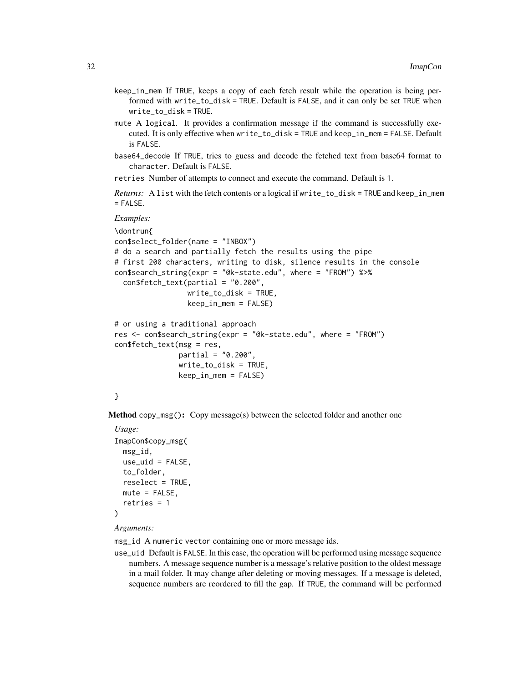- keep\_in\_mem If TRUE, keeps a copy of each fetch result while the operation is being performed with write\_to\_disk = TRUE. Default is FALSE, and it can only be set TRUE when write\_to\_disk = TRUE.
- mute A logical. It provides a confirmation message if the command is successfully executed. It is only effective when write\_to\_disk = TRUE and keep\_in\_mem = FALSE. Default is FALSE.
- base64\_decode If TRUE, tries to guess and decode the fetched text from base64 format to character. Default is FALSE.

retries Number of attempts to connect and execute the command. Default is 1.

*Returns:* A list with the fetch contents or a logical if write\_to\_disk = TRUE and keep\_in\_mem = FALSE.

*Examples:*

```
\dontrun{
con$select_folder(name = "INBOX")
# do a search and partially fetch the results using the pipe
# first 200 characters, writing to disk, silence results in the console
con$search_string(expr = "@k-state.edu", where = "FROM") %>%
  confetch_test(partial = "0.200",write_to_disk = TRUE,
                 keep_in_mem = FALSE)
# or using a traditional approach
res <- con$search_string(expr = "@k-state.edu", where = "FROM")
con$fetch_text(msg = res,
              partial = "0.200",
               write_to_disk = TRUE,
               keep_in_mem = FALSE)
```

```
}
```
<span id="page-31-0"></span>Method copy\_msg(): Copy message(s) between the selected folder and another one

```
Usage:
ImapCon$copy_msg(
 msg_id,
 use\_uid = FALSE,to_folder,
  reselect = TRUE,
 mute = FALSE,
  retries = 1
)
```
#### *Arguments:*

msg\_id A numeric vector containing one or more message ids.

use\_uid Default is FALSE. In this case, the operation will be performed using message sequence numbers. A message sequence number is a message's relative position to the oldest message in a mail folder. It may change after deleting or moving messages. If a message is deleted, sequence numbers are reordered to fill the gap. If TRUE, the command will be performed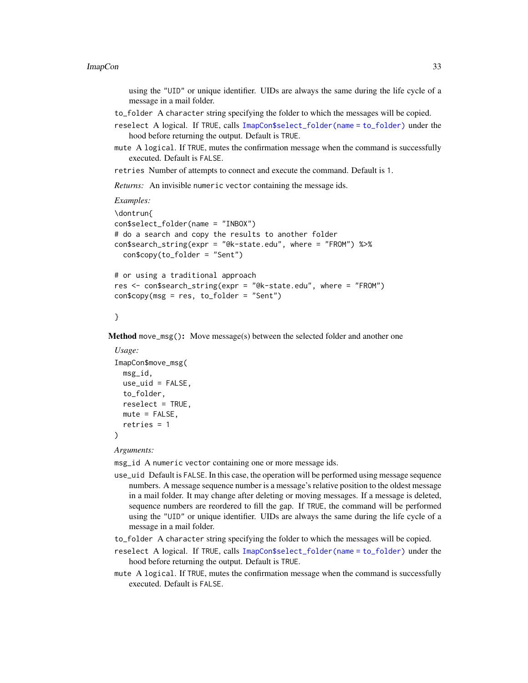using the "UID" or unique identifier. UIDs are always the same during the life cycle of a message in a mail folder.

- to\_folder A character string specifying the folder to which the messages will be copied.
- reselect A logical. If TRUE, calls [ImapCon\\$select\\_folder\(name = to\\_folder\)](#page-12-0) under the hood before returning the output. Default is TRUE.
- mute A logical. If TRUE, mutes the confirmation message when the command is successfully executed. Default is FALSE.

retries Number of attempts to connect and execute the command. Default is 1.

*Returns:* An invisible numeric vector containing the message ids.

```
Examples:
```

```
\dontrun{
con$select_folder(name = "INBOX")
# do a search and copy the results to another folder
con$search_string(expr = "@k-state.edu", where = "FROM") %>%
  con$copy(to_folder = "Sent")
# or using a traditional approach
```

```
res <- con$search_string(expr = "@k-state.edu", where = "FROM")
con$copy(msg = res, to_folder = "Sent")
```
}

<span id="page-32-0"></span>Method move\_msg(): Move message(s) between the selected folder and another one

```
Usage:
ImapCon$move_msg(
 msg_id,
 use_uid = FALSE,
  to_folder,
 reselect = TRUE,
 mute = FALSE,
  retries = 1
)
```
*Arguments:*

- use\_uid Default is FALSE. In this case, the operation will be performed using message sequence numbers. A message sequence number is a message's relative position to the oldest message in a mail folder. It may change after deleting or moving messages. If a message is deleted, sequence numbers are reordered to fill the gap. If TRUE, the command will be performed using the "UID" or unique identifier. UIDs are always the same during the life cycle of a message in a mail folder.
- to\_folder A character string specifying the folder to which the messages will be copied.
- reselect A logical. If TRUE, calls [ImapCon\\$select\\_folder\(name = to\\_folder\)](#page-12-0) under the hood before returning the output. Default is TRUE.
- mute A logical. If TRUE, mutes the confirmation message when the command is successfully executed. Default is FALSE.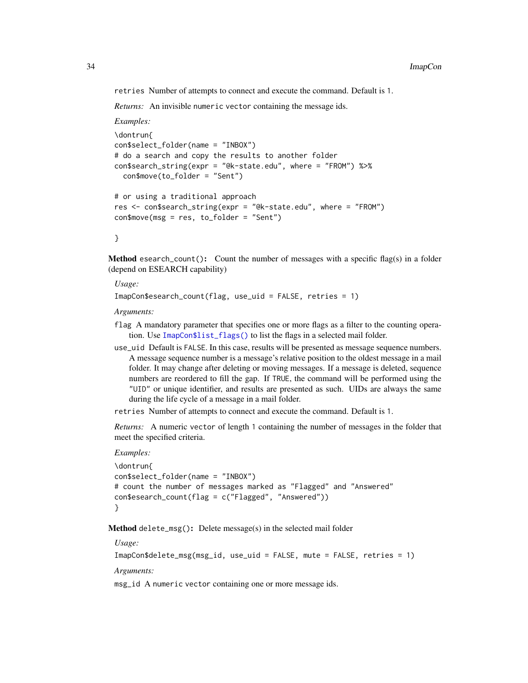retries Number of attempts to connect and execute the command. Default is 1.

*Returns:* An invisible numeric vector containing the message ids.

*Examples:*

```
\dontrun{
con$select_folder(name = "INBOX")
# do a search and copy the results to another folder
con$search_string(expr = "@k-state.edu", where = "FROM") %>%
  con$move(to_folder = "Sent")
# or using a traditional approach
res <- con$search_string(expr = "@k-state.edu", where = "FROM")
con$move(msg = res, to_folder = "Sent")
```

```
}
```
<span id="page-33-0"></span>**Method** esearch\_count(): Count the number of messages with a specific flag(s) in a folder (depend on ESEARCH capability)

*Usage:*

ImapCon\$esearch\_count(flag, use\_uid = FALSE, retries = 1)

*Arguments:*

- flag A mandatory parameter that specifies one or more flags as a filter to the counting operation. Use [ImapCon\\$list\\_flags\(\)](#page-13-0) to list the flags in a selected mail folder.
- use\_uid Default is FALSE. In this case, results will be presented as message sequence numbers. A message sequence number is a message's relative position to the oldest message in a mail folder. It may change after deleting or moving messages. If a message is deleted, sequence numbers are reordered to fill the gap. If TRUE, the command will be performed using the "UID" or unique identifier, and results are presented as such. UIDs are always the same during the life cycle of a message in a mail folder.

retries Number of attempts to connect and execute the command. Default is 1.

*Returns:* A numeric vector of length 1 containing the number of messages in the folder that meet the specified criteria.

#### *Examples:*

```
\dontrun{
con$select_folder(name = "INBOX")
# count the number of messages marked as "Flagged" and "Answered"
con$esearch_count(flag = c("Flagged", "Answered"))
}
```
<span id="page-33-1"></span>Method delete\_msg(): Delete message(s) in the selected mail folder

*Usage:*

ImapCon\$delete\_msg(msg\_id, use\_uid = FALSE, mute = FALSE, retries = 1)

*Arguments:*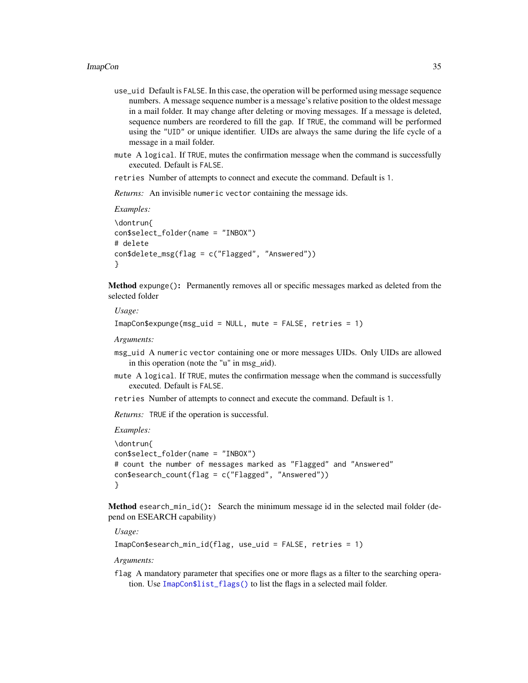- use\_uid Default is FALSE. In this case, the operation will be performed using message sequence numbers. A message sequence number is a message's relative position to the oldest message in a mail folder. It may change after deleting or moving messages. If a message is deleted, sequence numbers are reordered to fill the gap. If TRUE, the command will be performed using the "UID" or unique identifier. UIDs are always the same during the life cycle of a message in a mail folder.
- mute A logical. If TRUE, mutes the confirmation message when the command is successfully executed. Default is FALSE.

retries Number of attempts to connect and execute the command. Default is 1.

*Returns:* An invisible numeric vector containing the message ids.

*Examples:*

```
\dontrun{
con$select_folder(name = "INBOX")
# delete
con$delete_msg(flag = c("Flagged", "Answered"))
}
```
<span id="page-34-0"></span>Method expunge(): Permanently removes all or specific messages marked as deleted from the selected folder

#### *Usage:*

```
ImapCon$expunge(msg_uid = NULL, mute = FALSE, retries = 1)
```
*Arguments:*

- msg\_uid A numeric vector containing one or more messages UIDs. Only UIDs are allowed in this operation (note the "u" in msg\_*u*id).
- mute A logical. If TRUE, mutes the confirmation message when the command is successfully executed. Default is FALSE.

retries Number of attempts to connect and execute the command. Default is 1.

*Returns:* TRUE if the operation is successful.

*Examples:*

```
\dontrun{
con$select_folder(name = "INBOX")
# count the number of messages marked as "Flagged" and "Answered"
con$esearch_count(flag = c("Flagged", "Answered"))
}
```
<span id="page-34-1"></span>Method esearch\_min\_id(): Search the minimum message id in the selected mail folder (depend on ESEARCH capability)

*Usage:*

```
ImapCon$esearch_min_id(flag, use_uid = FALSE, retries = 1)
```
*Arguments:*

flag A mandatory parameter that specifies one or more flags as a filter to the searching operation. Use [ImapCon\\$list\\_flags\(\)](#page-13-0) to list the flags in a selected mail folder.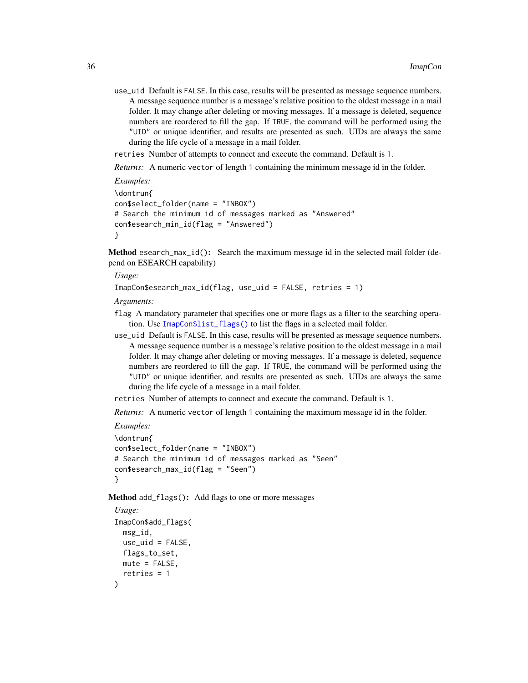use\_uid Default is FALSE. In this case, results will be presented as message sequence numbers. A message sequence number is a message's relative position to the oldest message in a mail folder. It may change after deleting or moving messages. If a message is deleted, sequence numbers are reordered to fill the gap. If TRUE, the command will be performed using the "UID" or unique identifier, and results are presented as such. UIDs are always the same during the life cycle of a message in a mail folder.

retries Number of attempts to connect and execute the command. Default is 1.

*Returns:* A numeric vector of length 1 containing the minimum message id in the folder.

```
Examples:
\dontrun{
con$select_folder(name = "INBOX")
# Search the minimum id of messages marked as "Answered"
con$esearch_min_id(flag = "Answered")
}
```
<span id="page-35-0"></span>Method esearch\_max\_id(): Search the maximum message id in the selected mail folder (depend on ESEARCH capability)

*Usage:*

```
ImapCon$esearch_max_id(flag, use_uid = FALSE, retries = 1)
```
*Arguments:*

- flag A mandatory parameter that specifies one or more flags as a filter to the searching operation. Use [ImapCon\\$list\\_flags\(\)](#page-13-0) to list the flags in a selected mail folder.
- use\_uid Default is FALSE. In this case, results will be presented as message sequence numbers. A message sequence number is a message's relative position to the oldest message in a mail folder. It may change after deleting or moving messages. If a message is deleted, sequence numbers are reordered to fill the gap. If TRUE, the command will be performed using the "UID" or unique identifier, and results are presented as such. UIDs are always the same during the life cycle of a message in a mail folder.

retries Number of attempts to connect and execute the command. Default is 1.

*Returns:* A numeric vector of length 1 containing the maximum message id in the folder.

```
Examples:
\dontrun{
con$select_folder(name = "INBOX")
# Search the minimum id of messages marked as "Seen"
con$esearch_max_id(flag = "Seen")
}
```
<span id="page-35-1"></span>Method add\_flags(): Add flags to one or more messages

```
Usage:
ImapCon$add_flags(
 msg_id,
 use_uid = FALSE,
 flags_to_set,
 mute = FALSE,
  retries = 1
)
```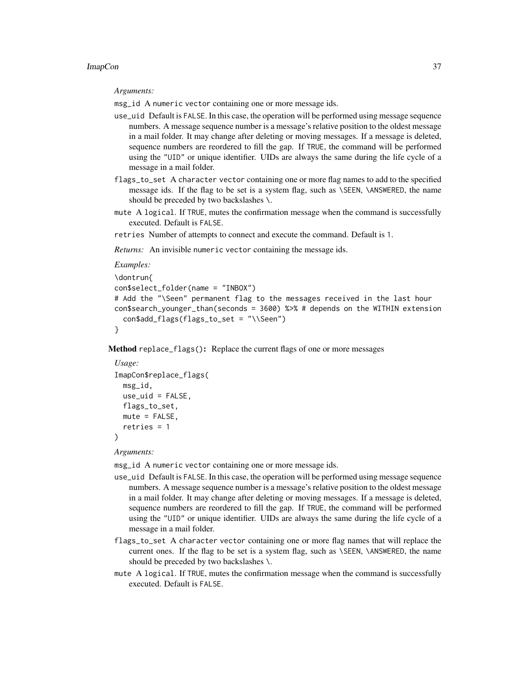*Arguments:*

msg\_id A numeric vector containing one or more message ids.

- use\_uid Default is FALSE. In this case, the operation will be performed using message sequence numbers. A message sequence number is a message's relative position to the oldest message in a mail folder. It may change after deleting or moving messages. If a message is deleted, sequence numbers are reordered to fill the gap. If TRUE, the command will be performed using the "UID" or unique identifier. UIDs are always the same during the life cycle of a message in a mail folder.
- flags\_to\_set A character vector containing one or more flag names to add to the specified message ids. If the flag to be set is a system flag, such as \SEEN, \ANSWERED, the name should be preceded by two backslashes \.
- mute A logical. If TRUE, mutes the confirmation message when the command is successfully executed. Default is FALSE.
- retries Number of attempts to connect and execute the command. Default is 1.

*Returns:* An invisible numeric vector containing the message ids.

```
Examples:
```

```
\dontrun{
con$select_folder(name = "INBOX")
# Add the "\Seen" permanent flag to the messages received in the last hour
con$search_younger_than(seconds = 3600) %>% # depends on the WITHIN extension
  con$add_flags(flags_to_set = "\\Seen")
}
```
<span id="page-36-0"></span>Method replace\_flags(): Replace the current flags of one or more messages

```
Usage:
ImapCon$replace_flags(
 msg_id,
 use\_uid = FALSE,flags_to_set,
 mute = FALSE,
 retries = 1
)
```
*Arguments:*

- use\_uid Default is FALSE. In this case, the operation will be performed using message sequence numbers. A message sequence number is a message's relative position to the oldest message in a mail folder. It may change after deleting or moving messages. If a message is deleted, sequence numbers are reordered to fill the gap. If TRUE, the command will be performed using the "UID" or unique identifier. UIDs are always the same during the life cycle of a message in a mail folder.
- flags\_to\_set A character vector containing one or more flag names that will replace the current ones. If the flag to be set is a system flag, such as \SEEN, \ANSWERED, the name should be preceded by two backslashes \.
- mute A logical. If TRUE, mutes the confirmation message when the command is successfully executed. Default is FALSE.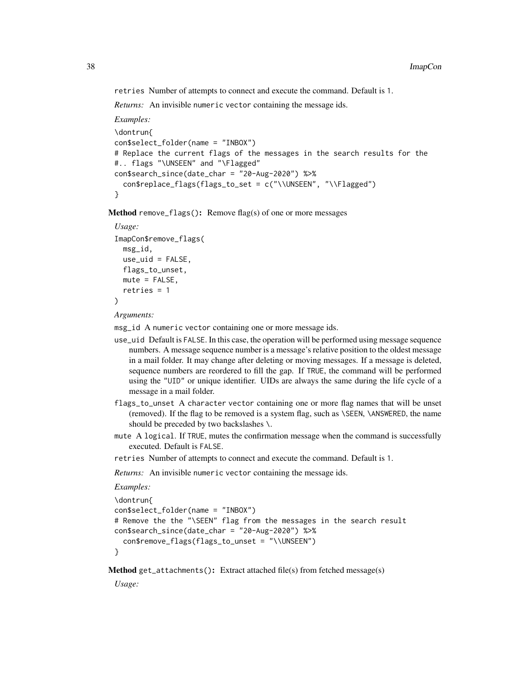retries Number of attempts to connect and execute the command. Default is 1.

*Returns:* An invisible numeric vector containing the message ids.

```
Examples:
\dontrun{
con$select_folder(name = "INBOX")
# Replace the current flags of the messages in the search results for the
#.. flags "\UNSEEN" and "\Flagged"
con$search_since(date_char = "20-Aug-2020") %>%
  con$replace_flags(flags_to_set = c("\\UNSEEN", "\\Flagged")
}
```
<span id="page-37-0"></span>Method remove\_flags(): Remove flag(s) of one or more messages

```
Usage:
ImapCon$remove_flags(
 msg_id,
 use\_uid = FALSE,flags_to_unset,
 mute = FALSE,
 retries = 1
)
```
*Arguments:*

msg\_id A numeric vector containing one or more message ids.

- use\_uid Default is FALSE. In this case, the operation will be performed using message sequence numbers. A message sequence number is a message's relative position to the oldest message in a mail folder. It may change after deleting or moving messages. If a message is deleted, sequence numbers are reordered to fill the gap. If TRUE, the command will be performed using the "UID" or unique identifier. UIDs are always the same during the life cycle of a message in a mail folder.
- flags\_to\_unset A character vector containing one or more flag names that will be unset (removed). If the flag to be removed is a system flag, such as \SEEN, \ANSWERED, the name should be preceded by two backslashes \.
- mute A logical. If TRUE, mutes the confirmation message when the command is successfully executed. Default is FALSE.
- retries Number of attempts to connect and execute the command. Default is 1.

*Returns:* An invisible numeric vector containing the message ids.

```
Examples:
```

```
\dontrun{
con$select_folder(name = "INBOX")
# Remove the the "\SEEN" flag from the messages in the search result
con$search_since(date_char = "20-Aug-2020") %>%
 con$remove_flags(flags_to_unset = "\\UNSEEN")
}
```
<span id="page-37-1"></span>Method get\_attachments(): Extract attached file(s) from fetched message(s)

*Usage:*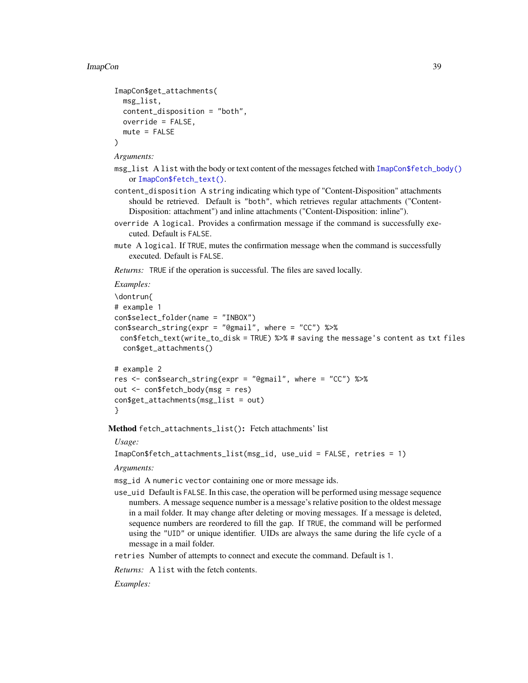```
ImapCon$get_attachments(
 msg_list,
 content_disposition = "both",
 override = FALSE,
  mute = FALSE
)
```
*Arguments:*

- $msg\_list$  A list with the body or text content of the messages fetched with [ImapCon\\$fetch\\_body\(\)](#page-26-0) or [ImapCon\\$fetch\\_text\(\)](#page-30-0).
- content\_disposition A string indicating which type of "Content-Disposition" attachments should be retrieved. Default is "both", which retrieves regular attachments ("Content-Disposition: attachment") and inline attachments ("Content-Disposition: inline").
- override A logical. Provides a confirmation message if the command is successfully executed. Default is FALSE.
- mute A logical. If TRUE, mutes the confirmation message when the command is successfully executed. Default is FALSE.

*Returns:* TRUE if the operation is successful. The files are saved locally.

```
Examples:
```

```
\dontrun{
# example 1
con$select_folder(name = "INBOX")
con$search_string(expr = "@gmail", where = "CC") %>%
 con$fetch_text(write_to_disk = TRUE) %>% # saving the message's content as txt files
  con$get_attachments()
```

```
# example 2
res <- con$search_string(expr = "@gmail", where = "CC") %>%
out <- con$fetch_body(msg = res)
con$get_attachments(msg_list = out)
}
```
<span id="page-38-0"></span>Method fetch\_attachments\_list(): Fetch attachments' list

## *Usage:*

```
ImapCon$fetch_attachments_list(msg_id, use_uid = FALSE, retries = 1)
```
*Arguments:*

msg\_id A numeric vector containing one or more message ids.

use\_uid Default is FALSE. In this case, the operation will be performed using message sequence numbers. A message sequence number is a message's relative position to the oldest message in a mail folder. It may change after deleting or moving messages. If a message is deleted, sequence numbers are reordered to fill the gap. If TRUE, the command will be performed using the "UID" or unique identifier. UIDs are always the same during the life cycle of a message in a mail folder.

retries Number of attempts to connect and execute the command. Default is 1.

*Returns:* A list with the fetch contents.

*Examples:*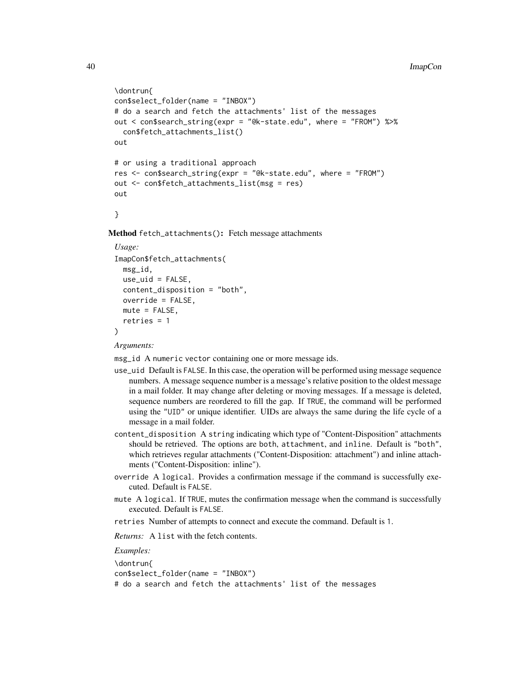```
\dontrun{
con$select_folder(name = "INBOX")
# do a search and fetch the attachments' list of the messages
out < con$search_string(expr = "@k-state.edu", where = "FROM") %>%
  con$fetch_attachments_list()
out
# or using a traditional approach
res <- con$search_string(expr = "@k-state.edu", where = "FROM")
out <- con$fetch_attachments_list(msg = res)
out
```
}

<span id="page-39-0"></span>Method fetch\_attachments(): Fetch message attachments

```
Usage:
ImapCon$fetch_attachments(
 msg_id,
 use\_uid = FALSE,content_disposition = "both",
  override = FALSE,
 mute = FALSE,
  retries = 1
)
```
*Arguments:*

msg\_id A numeric vector containing one or more message ids.

- use\_uid Default is FALSE. In this case, the operation will be performed using message sequence numbers. A message sequence number is a message's relative position to the oldest message in a mail folder. It may change after deleting or moving messages. If a message is deleted, sequence numbers are reordered to fill the gap. If TRUE, the command will be performed using the "UID" or unique identifier. UIDs are always the same during the life cycle of a message in a mail folder.
- content\_disposition A string indicating which type of "Content-Disposition" attachments should be retrieved. The options are both, attachment, and inline. Default is "both", which retrieves regular attachments ("Content-Disposition: attachment") and inline attachments ("Content-Disposition: inline").
- override A logical. Provides a confirmation message if the command is successfully executed. Default is FALSE.
- mute A logical. If TRUE, mutes the confirmation message when the command is successfully executed. Default is FALSE.
- retries Number of attempts to connect and execute the command. Default is 1.

*Returns:* A list with the fetch contents.

*Examples:*

\dontrun{ con\$select\_folder(name = "INBOX")

```
# do a search and fetch the attachments' list of the messages
```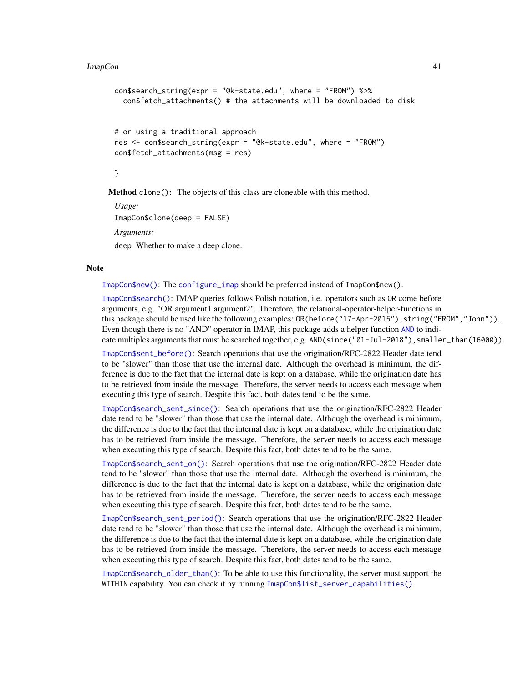```
con$search_string(expr = "@k-state.edu", where = "FROM") %>%
 con$fetch_attachments() # the attachments will be downloaded to disk
# or using a traditional approach
res <- con$search_string(expr = "@k-state.edu", where = "FROM")
con$fetch_attachments(msg = res)
}
```
<span id="page-40-0"></span>Method clone(): The objects of this class are cloneable with this method.

*Usage:* ImapCon\$clone(deep = FALSE) *Arguments:* deep Whether to make a deep clone.

#### Note

[ImapCon\\$new\(\)](#page-9-0): The [configure\\_imap](#page-5-1) should be preferred instead of ImapCon\$new().

[ImapCon\\$search\(\)](#page-14-0): IMAP queries follows Polish notation, i.e. operators such as OR come before arguments, e.g. "OR argument1 argument2". Therefore, the relational-operator-helper-functions in this package should be used like the following examples: OR(before("17-Apr-2015"), string("FROM","John")). Even though there is no "AND" operator in IMAP, this package adds a helper function [AND](#page-2-1) to indicate multiples arguments that must be searched together, e.g. AND(since("01-Jul-2018"), smaller\_than(16000)).

[ImapCon\\$sent\\_before\(\)](#page-0-0): Search operations that use the origination/RFC-2822 Header date tend to be "slower" than those that use the internal date. Although the overhead is minimum, the difference is due to the fact that the internal date is kept on a database, while the origination date has to be retrieved from inside the message. Therefore, the server needs to access each message when executing this type of search. Despite this fact, both dates tend to be the same.

[ImapCon\\$search\\_sent\\_since\(\)](#page-21-0): Search operations that use the origination/RFC-2822 Header date tend to be "slower" than those that use the internal date. Although the overhead is minimum, the difference is due to the fact that the internal date is kept on a database, while the origination date has to be retrieved from inside the message. Therefore, the server needs to access each message when executing this type of search. Despite this fact, both dates tend to be the same.

[ImapCon\\$search\\_sent\\_on\(\)](#page-21-1): Search operations that use the origination/RFC-2822 Header date tend to be "slower" than those that use the internal date. Although the overhead is minimum, the difference is due to the fact that the internal date is kept on a database, while the origination date has to be retrieved from inside the message. Therefore, the server needs to access each message when executing this type of search. Despite this fact, both dates tend to be the same.

[ImapCon\\$search\\_sent\\_period\(\)](#page-22-0): Search operations that use the origination/RFC-2822 Header date tend to be "slower" than those that use the internal date. Although the overhead is minimum, the difference is due to the fact that the internal date is kept on a database, while the origination date has to be retrieved from inside the message. Therefore, the server needs to access each message when executing this type of search. Despite this fact, both dates tend to be the same.

[ImapCon\\$search\\_older\\_than\(\)](#page-24-0): To be able to use this functionality, the server must support the WITHIN capability. You can check it by running [ImapCon\\$list\\_server\\_capabilities\(\)](#page-11-3).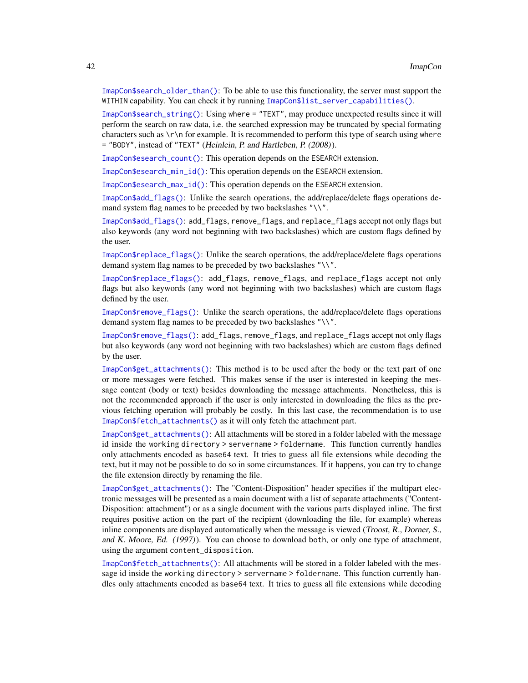[ImapCon\\$search\\_older\\_than\(\)](#page-24-0): To be able to use this functionality, the server must support the WITHIN capability. You can check it by running [ImapCon\\$list\\_server\\_capabilities\(\)](#page-11-3).

[ImapCon\\$search\\_string\(\)](#page-26-1): Using where = "TEXT", may produce unexpected results since it will perform the search on raw data, i.e. the searched expression may be truncated by special formating characters such as  $\lceil \cdot \rceil$  for example. It is recommended to perform this type of search using where = "BODY", instead of "TEXT" (Heinlein, P. and Hartleben, P. (2008)).

[ImapCon\\$esearch\\_count\(\)](#page-33-0): This operation depends on the ESEARCH extension.

[ImapCon\\$esearch\\_min\\_id\(\)](#page-34-1): This operation depends on the ESEARCH extension.

[ImapCon\\$esearch\\_max\\_id\(\)](#page-35-0): This operation depends on the ESEARCH extension.

[ImapCon\\$add\\_flags\(\)](#page-35-1): Unlike the search operations, the add/replace/delete flags operations demand system flag names to be preceded by two backslashes "\\".

[ImapCon\\$add\\_flags\(\)](#page-35-1): add\_flags, remove\_flags, and replace\_flags accept not only flags but also keywords (any word not beginning with two backslashes) which are custom flags defined by the user.

[ImapCon\\$replace\\_flags\(\)](#page-36-0): Unlike the search operations, the add/replace/delete flags operations demand system flag names to be preceded by two backslashes "\\".

[ImapCon\\$replace\\_flags\(\)](#page-36-0): add\_flags, remove\_flags, and replace\_flags accept not only flags but also keywords (any word not beginning with two backslashes) which are custom flags defined by the user.

[ImapCon\\$remove\\_flags\(\)](#page-37-0): Unlike the search operations, the add/replace/delete flags operations demand system flag names to be preceded by two backslashes "\\".

[ImapCon\\$remove\\_flags\(\)](#page-37-0): add\_flags, remove\_flags, and replace\_flags accept not only flags but also keywords (any word not beginning with two backslashes) which are custom flags defined by the user.

[ImapCon\\$get\\_attachments\(\)](#page-37-1): This method is to be used after the body or the text part of one or more messages were fetched. This makes sense if the user is interested in keeping the message content (body or text) besides downloading the message attachments. Nonetheless, this is not the recommended approach if the user is only interested in downloading the files as the previous fetching operation will probably be costly. In this last case, the recommendation is to use [ImapCon\\$fetch\\_attachments\(\)](#page-39-0) as it will only fetch the attachment part.

[ImapCon\\$get\\_attachments\(\)](#page-37-1): All attachments will be stored in a folder labeled with the message id inside the working directory > servername > foldername. This function currently handles only attachments encoded as base64 text. It tries to guess all file extensions while decoding the text, but it may not be possible to do so in some circumstances. If it happens, you can try to change the file extension directly by renaming the file.

[ImapCon\\$get\\_attachments\(\)](#page-37-1): The "Content-Disposition" header specifies if the multipart electronic messages will be presented as a main document with a list of separate attachments ("Content-Disposition: attachment") or as a single document with the various parts displayed inline. The first requires positive action on the part of the recipient (downloading the file, for example) whereas inline components are displayed automatically when the message is viewed (Troost, R., Dorner, S., and K. Moore, Ed. (1997)). You can choose to download both, or only one type of attachment, using the argument content\_disposition.

[ImapCon\\$fetch\\_attachments\(\)](#page-39-0): All attachments will be stored in a folder labeled with the message id inside the working directory > servername > foldername. This function currently handles only attachments encoded as base64 text. It tries to guess all file extensions while decoding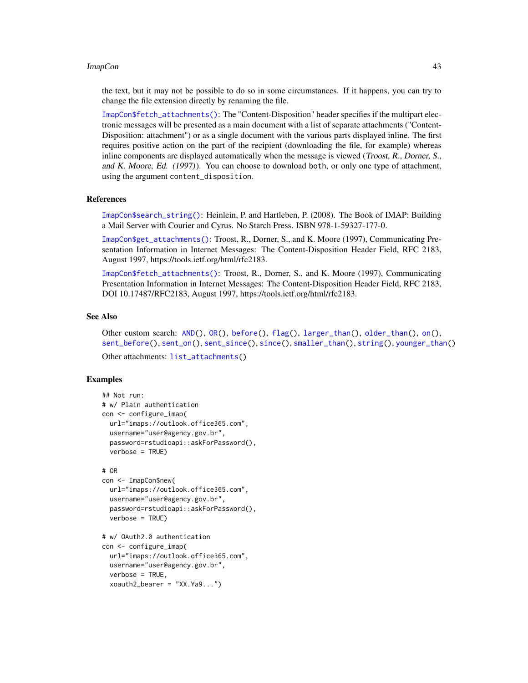<span id="page-42-0"></span>the text, but it may not be possible to do so in some circumstances. If it happens, you can try to change the file extension directly by renaming the file.

[ImapCon\\$fetch\\_attachments\(\)](#page-39-0): The "Content-Disposition" header specifies if the multipart electronic messages will be presented as a main document with a list of separate attachments ("Content-Disposition: attachment") or as a single document with the various parts displayed inline. The first requires positive action on the part of the recipient (downloading the file, for example) whereas inline components are displayed automatically when the message is viewed (Troost, R., Dorner, S., and K. Moore, Ed. (1997)). You can choose to download both, or only one type of attachment, using the argument content\_disposition.

#### References

[ImapCon\\$search\\_string\(\)](#page-26-1): Heinlein, P. and Hartleben, P. (2008). The Book of IMAP: Building a Mail Server with Courier and Cyrus. No Starch Press. ISBN 978-1-59327-177-0.

[ImapCon\\$get\\_attachments\(\)](#page-37-1): Troost, R., Dorner, S., and K. Moore (1997), Communicating Presentation Information in Internet Messages: The Content-Disposition Header Field, RFC 2183, August 1997, https://tools.ietf.org/html/rfc2183.

[ImapCon\\$fetch\\_attachments\(\)](#page-39-0): Troost, R., Dorner, S., and K. Moore (1997), Communicating Presentation Information in Internet Messages: The Content-Disposition Header Field, RFC 2183, DOI 10.17487/RFC2183, August 1997, https://tools.ietf.org/html/rfc2183.

#### See Also

Other custom search: [AND\(](#page-2-1)), [OR\(](#page-57-1)), [before\(](#page-3-1)), [flag\(](#page-7-1)), [larger\\_than\(](#page-52-1)), [older\\_than\(](#page-55-1)), [on\(](#page-56-1)), [sent\\_before\(](#page-58-1)), [sent\\_on\(](#page-59-1)), [sent\\_since\(](#page-60-1)), [since\(](#page-61-1)), [smaller\\_than\(](#page-62-1)), [string\(](#page-62-2)), [younger\\_than\(](#page-63-1))

```
Other attachments: list_attachments()
```
#### Examples

```
## Not run:
# w/ Plain authentication
con <- configure_imap(
 url="imaps://outlook.office365.com",
 username="user@agency.gov.br",
 password=rstudioapi::askForPassword(),
 verbose = TRUE)
# OR
con <- ImapCon$new(
 url="imaps://outlook.office365.com",
 username="user@agency.gov.br",
 password=rstudioapi::askForPassword(),
 verbose = TRUE)
# w/ OAuth2.0 authentication
con <- configure_imap(
 url="imaps://outlook.office365.com",
```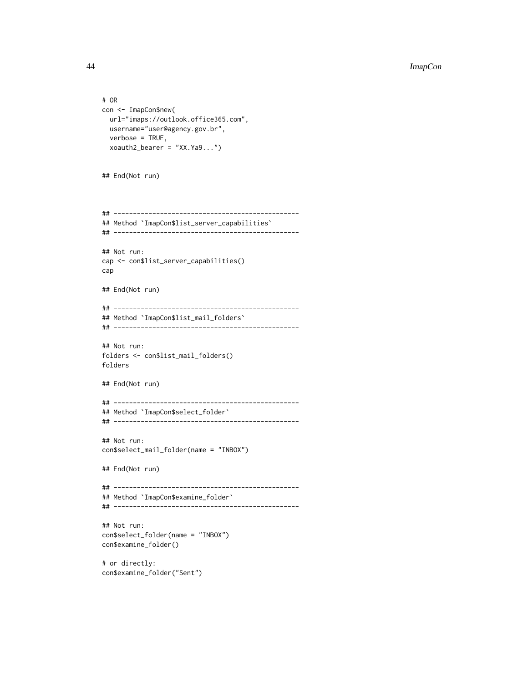```
# OR
con <- ImapCon$new(
  url="imaps://outlook.office365.com",
  username="user@agency.gov.br",
  verbose = TRUE,
  xoauth2_bearer = "XX.Ya9...")
## End(Not run)
## ------------------------------------------------
## Method `ImapCon$list_server_capabilities`
## ------------------------------------------------
## Not run:
cap <- con$list_server_capabilities()
cap
## End(Not run)
## ------------------------------------------------
## Method `ImapCon$list_mail_folders`
## ------------------------------------------------
## Not run:
folders <- con$list_mail_folders()
folders
## End(Not run)
## ------------------------------------------------
## Method `ImapCon$select_folder`
## ------------------------------------------------
## Not run:
con$select_mail_folder(name = "INBOX")
## End(Not run)
## ------------------------------------------------
## Method `ImapCon$examine_folder`
## ------------------------------------------------
## Not run:
con$select_folder(name = "INBOX")
con$examine_folder()
# or directly:
```
con\$examine\_folder("Sent")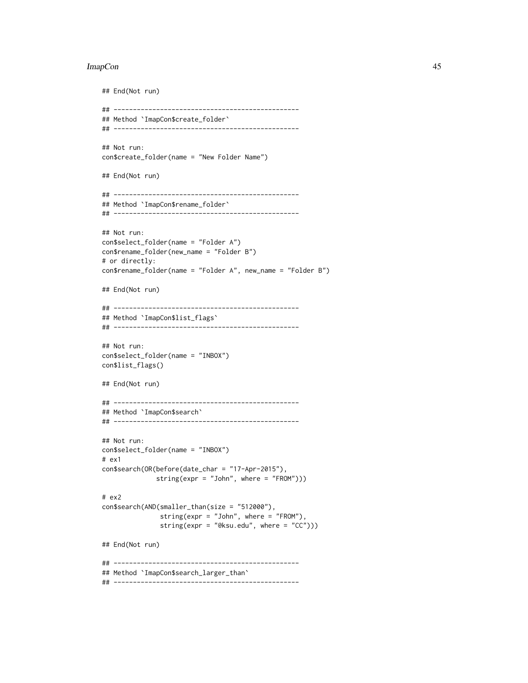```
## End(Not run)
## ------------------------------------------------
## Method `ImapCon$create_folder`
## ------------------------------------------------
## Not run:
con$create_folder(name = "New Folder Name")
## End(Not run)
## ------------------------------------------------
## Method `ImapCon$rename_folder`
## ------------------------------------------------
## Not run:
con$select_folder(name = "Folder A")
con$rename_folder(new_name = "Folder B")
# or directly:
con$rename_folder(name = "Folder A", new_name = "Folder B")
## End(Not run)
## ------------------------------------------------
## Method `ImapCon$list_flags`
## ------------------------------------------------
## Not run:
con$select_folder(name = "INBOX")
con$list_flags()
## End(Not run)
## ------------------------------------------------
## Method `ImapCon$search`
## ------------------------------------------------
## Not run:
con$select_folder(name = "INBOX")
# ex1
con$search(OR(before(date_char = "17-Apr-2015"),
              string(expr = "John", where = "FROM")))
# ex2
con$search(AND(smaller_than(size = "512000"),
               string(expr = "John", where = "FROM"),
               string(expr = "@ksu.edu", where = "CC")))
## End(Not run)
## ------------------------------------------------
## Method `ImapCon$search_larger_than`
## ------------------------------------------------
```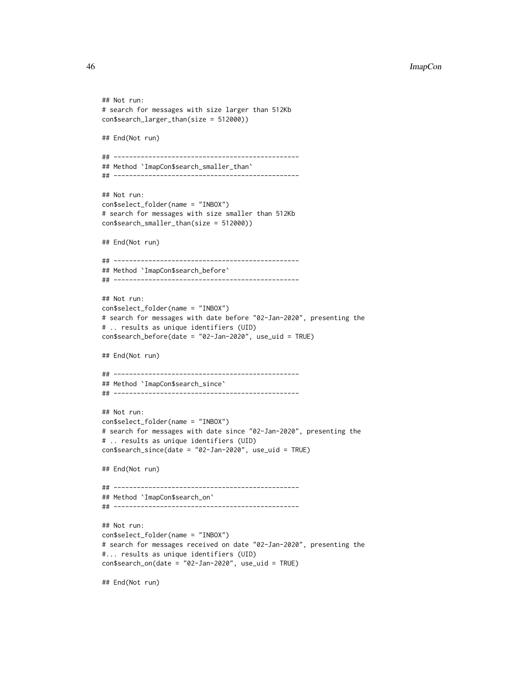```
## Not run:
# search for messages with size larger than 512Kb
con$search_larger_than(size = 512000))
## End(Not run)
## ------------------------------------------------
## Method `ImapCon$search_smaller_than`
## ------------------------------------------------
## Not run:
con$select_folder(name = "INBOX")
# search for messages with size smaller than 512Kb
con$search_smaller_than(size = 512000))
## End(Not run)
## ------------------------------------------------
## Method `ImapCon$search_before`
## ------------------------------------------------
## Not run:
con$select_folder(name = "INBOX")
# search for messages with date before "02-Jan-2020", presenting the
# .. results as unique identifiers (UID)
con$search_before(date = "02-Jan-2020", use_uid = TRUE)
## End(Not run)
## ------------------------------------------------
## Method `ImapCon$search_since`
## ------------------------------------------------
## Not run:
con$select_folder(name = "INBOX")
# search for messages with date since "02-Jan-2020", presenting the
# .. results as unique identifiers (UID)
con$search_since(date = "02-Jan-2020", use_uid = TRUE)
## End(Not run)
## ------------------------------------------------
## Method `ImapCon$search_on`
## ------------------------------------------------
## Not run:
con$select_folder(name = "INBOX")
# search for messages received on date "02-Jan-2020", presenting the
#... results as unique identifiers (UID)
con$search_on(date = "02-Jan-2020", use_uid = TRUE)
## End(Not run)
```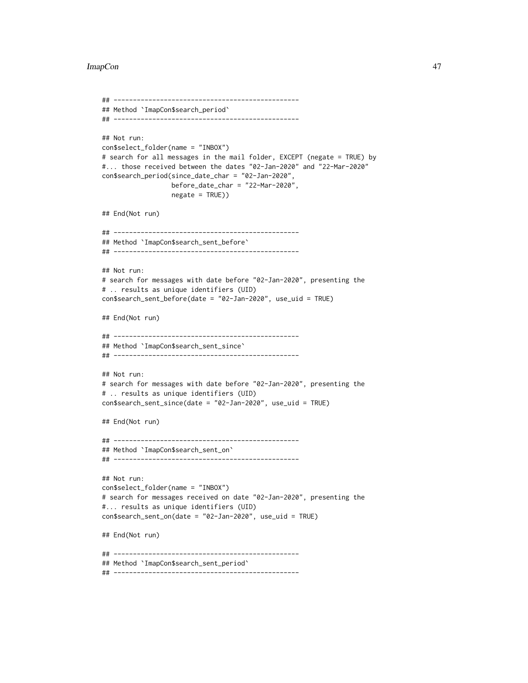```
## ------------------------------------------------
## Method `ImapCon$search_period`
## ------------------------------------------------
## Not run:
con$select_folder(name = "INBOX")
# search for all messages in the mail folder, EXCEPT (negate = TRUE) by
#... those received between the dates "02-Jan-2020" and "22-Mar-2020"
con$search_period(since_date_char = "02-Jan-2020",
                  before_date_char = "22-Mar-2020",
                  negate = TRUE))
## End(Not run)
## ------------------------------------------------
## Method `ImapCon$search_sent_before`
## ------------------------------------------------
## Not run:
# search for messages with date before "02-Jan-2020", presenting the
# .. results as unique identifiers (UID)
con$search_sent_before(date = "02-Jan-2020", use_uid = TRUE)
## End(Not run)
## ------------------------------------------------
## Method `ImapCon$search_sent_since`
## ------------------------------------------------
## Not run:
# search for messages with date before "02-Jan-2020", presenting the
# .. results as unique identifiers (UID)
con$search_sent_since(date = "02-Jan-2020", use_uid = TRUE)
## End(Not run)
## ------------------------------------------------
## Method `ImapCon$search_sent_on`
## ------------------------------------------------
## Not run:
con$select_folder(name = "INBOX")
# search for messages received on date "02-Jan-2020", presenting the
#... results as unique identifiers (UID)
con$search_sent_on(date = "02-Jan-2020", use_uid = TRUE)
## End(Not run)
## ------------------------------------------------
## Method `ImapCon$search_sent_period`
## ------------------------------------------------
```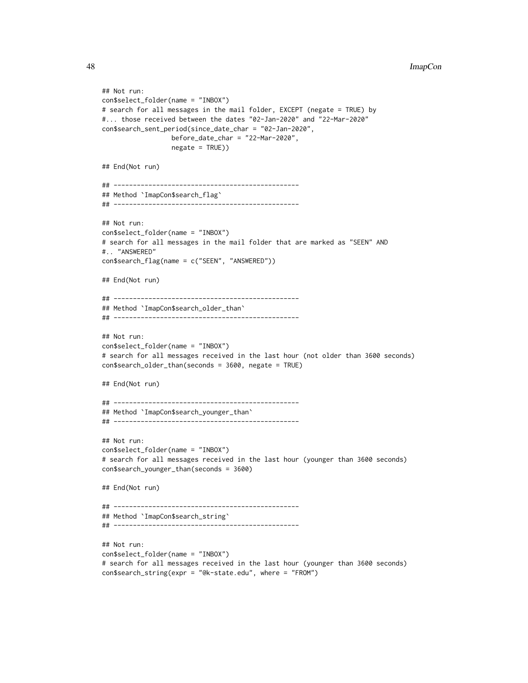```
48 ImapCon
```

```
## Not run:
con$select_folder(name = "INBOX")
# search for all messages in the mail folder, EXCEPT (negate = TRUE) by
#... those received between the dates "02-Jan-2020" and "22-Mar-2020"
con$search_sent_period(since_date_char = "02-Jan-2020",
                  before_date_char = "22-Mar-2020",
                  negate = TRUE))
## End(Not run)
## ------------------------------------------------
## Method `ImapCon$search_flag`
## ------------------------------------------------
## Not run:
con$select_folder(name = "INBOX")
# search for all messages in the mail folder that are marked as "SEEN" AND
#.. "ANSWERED"
con$search_flag(name = c("SEEN", "ANSWERED"))
## End(Not run)
## ------------------------------------------------
## Method `ImapCon$search_older_than`
## ------------------------------------------------
## Not run:
con$select_folder(name = "INBOX")
# search for all messages received in the last hour (not older than 3600 seconds)
con$search_older_than(seconds = 3600, negate = TRUE)
## End(Not run)
## ------------------------------------------------
## Method `ImapCon$search_younger_than`
## ------------------------------------------------
## Not run:
con$select_folder(name = "INBOX")
# search for all messages received in the last hour (younger than 3600 seconds)
con$search_younger_than(seconds = 3600)
## End(Not run)
## ------------------------------------------------
## Method `ImapCon$search_string`
## ------------------------------------------------
## Not run:
con$select_folder(name = "INBOX")
# search for all messages received in the last hour (younger than 3600 seconds)
con$search_string(expr = "@k-state.edu", where = "FROM")
```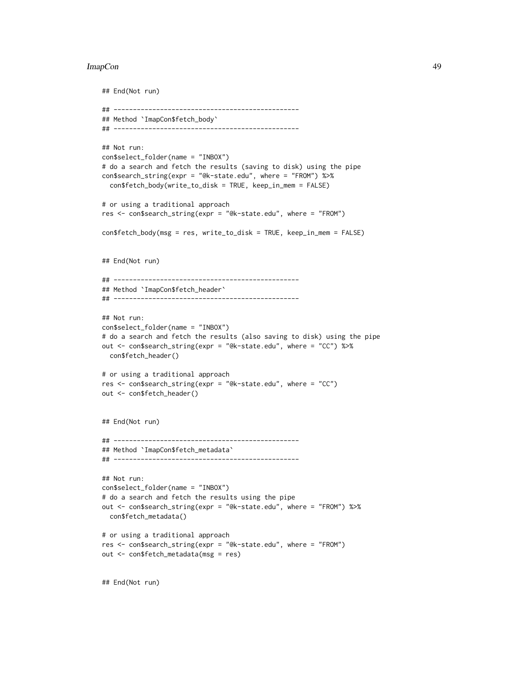#### ImapCon and the contract of the contract of the contract of the contract of the contract of the contract of the contract of the contract of the contract of the contract of the contract of the contract of the contract of th

```
## End(Not run)
## ------------------------------------------------
## Method `ImapCon$fetch_body`
## ------------------------------------------------
## Not run:
con$select_folder(name = "INBOX")
# do a search and fetch the results (saving to disk) using the pipe
con$search_string(expr = "@k-state.edu", where = "FROM") %>%
  con$fetch_body(write_to_disk = TRUE, keep_in_mem = FALSE)
# or using a traditional approach
res <- con$search_string(expr = "@k-state.edu", where = "FROM")
con$fetch_body(msg = res, write_to_disk = TRUE, keep_in_mem = FALSE)
## End(Not run)
## ------------------------------------------------
## Method `ImapCon$fetch_header`
## ------------------------------------------------
## Not run:
con$select_folder(name = "INBOX")
# do a search and fetch the results (also saving to disk) using the pipe
out <- con$search_string(expr = "@k-state.edu", where = "CC") %>%
  con$fetch_header()
# or using a traditional approach
res <- con$search_string(expr = "@k-state.edu", where = "CC")
out <- con$fetch_header()
## End(Not run)
## ------------------------------------------------
## Method `ImapCon$fetch_metadata`
## ------------------------------------------------
## Not run:
con$select_folder(name = "INBOX")
# do a search and fetch the results using the pipe
out <- con$search_string(expr = "@k-state.edu", where = "FROM") %>%
  con$fetch_metadata()
# or using a traditional approach
res <- con$search_string(expr = "@k-state.edu", where = "FROM")
out <- con$fetch_metadata(msg = res)
```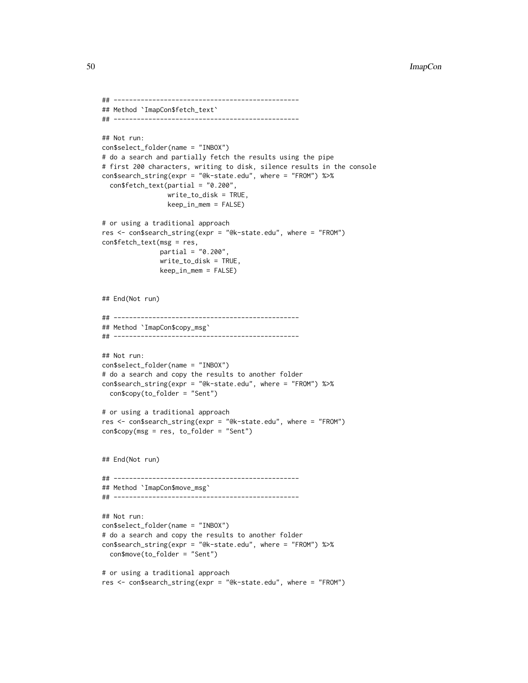```
## ------------------------------------------------
## Method `ImapCon$fetch_text`
## ------------------------------------------------
## Not run:
con$select_folder(name = "INBOX")
# do a search and partially fetch the results using the pipe
# first 200 characters, writing to disk, silence results in the console
con$search_string(expr = "@k-state.edu", where = "FROM") %>%
  con$fetch_text(partial = "0.200",
                 write_to_disk = TRUE,
                 keep_in_mem = FALSE)
# or using a traditional approach
res <- con$search_string(expr = "@k-state.edu", where = "FROM")
con$fetch_text(msg = res,
               partial = "0.200",
               write_to_disk = TRUE,
               keep_in_mem = FALSE)
## End(Not run)
## ------------------------------------------------
## Method `ImapCon$copy_msg`
## ------------------------------------------------
## Not run:
con$select_folder(name = "INBOX")
# do a search and copy the results to another folder
con$search_string(expr = "@k-state.edu", where = "FROM") %>%
  con$copy(to_folder = "Sent")
# or using a traditional approach
res <- con$search_string(expr = "@k-state.edu", where = "FROM")
con$copy(msg = res, to_folder = "Sent")
## End(Not run)
## ------------------------------------------------
## Method `ImapCon$move_msg`
## ------------------------------------------------
## Not run:
con$select_folder(name = "INBOX")
# do a search and copy the results to another folder
con$search_string(expr = "@k-state.edu", where = "FROM") %>%
  con$move(to_folder = "Sent")
# or using a traditional approach
res <- con$search_string(expr = "@k-state.edu", where = "FROM")
```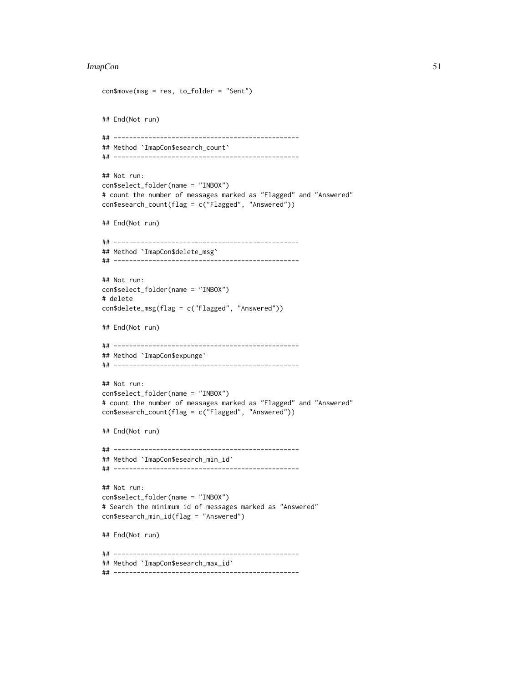```
con$move(msg = res, to_folder = "Sent")
## End(Not run)
## ------------------------------------------------
## Method `ImapCon$esearch_count`
## ------------------------------------------------
## Not run:
con$select_folder(name = "INBOX")
# count the number of messages marked as "Flagged" and "Answered"
con$esearch_count(flag = c("Flagged", "Answered"))
## End(Not run)
## ------------------------------------------------
## Method `ImapCon$delete_msg`
## ------------------------------------------------
## Not run:
con$select_folder(name = "INBOX")
# delete
con$delete_msg(flag = c("Flagged", "Answered"))
## End(Not run)
## ------------------------------------------------
## Method `ImapCon$expunge`
## ------------------------------------------------
## Not run:
con$select_folder(name = "INBOX")
# count the number of messages marked as "Flagged" and "Answered"
con$esearch_count(flag = c("Flagged", "Answered"))
## End(Not run)
## ------------------------------------------------
## Method `ImapCon$esearch_min_id`
## ------------------------------------------------
## Not run:
con$select_folder(name = "INBOX")
# Search the minimum id of messages marked as "Answered"
con$esearch_min_id(flag = "Answered")
## End(Not run)
## ------------------------------------------------
## Method `ImapCon$esearch_max_id`
## ------------------------------------------------
```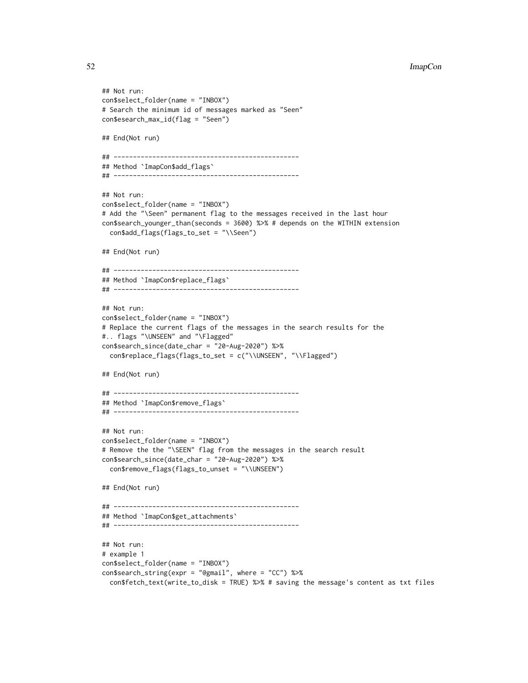```
## Not run:
con$select_folder(name = "INBOX")
# Search the minimum id of messages marked as "Seen"
con$esearch_max_id(flag = "Seen")
## End(Not run)
## ------------------------------------------------
## Method `ImapCon$add_flags`
## ------------------------------------------------
## Not run:
con$select_folder(name = "INBOX")
# Add the "\Seen" permanent flag to the messages received in the last hour
con$search_younger_than(seconds = 3600) %>% # depends on the WITHIN extension
  con$add_flags(flags_to_set = "\\Seen")
## End(Not run)
## ------------------------------------------------
## Method `ImapCon$replace_flags`
## ------------------------------------------------
## Not run:
con$select_folder(name = "INBOX")
# Replace the current flags of the messages in the search results for the
#.. flags "\UNSEEN" and "\Flagged"
con$search_since(date_char = "20-Aug-2020") %>%
  con$replace_flags(flags_to_set = c("\\UNSEEN", "\\Flagged")
## End(Not run)
## ------------------------------------------------
## Method `ImapCon$remove_flags`
## ------------------------------------------------
## Not run:
con$select_folder(name = "INBOX")
# Remove the the "\SEEN" flag from the messages in the search result
con$search_since(date_char = "20-Aug-2020") %>%
  con$remove_flags(flags_to_unset = "\\UNSEEN")
## End(Not run)
## ------------------------------------------------
## Method `ImapCon$get_attachments`
## ------------------------------------------------
## Not run:
# example 1
con$select_folder(name = "INBOX")
con$search_string(expr = "@gmail", where = "CC") %>%
  con$fetch_text(write_to_disk = TRUE) %>% # saving the message's content as txt files
```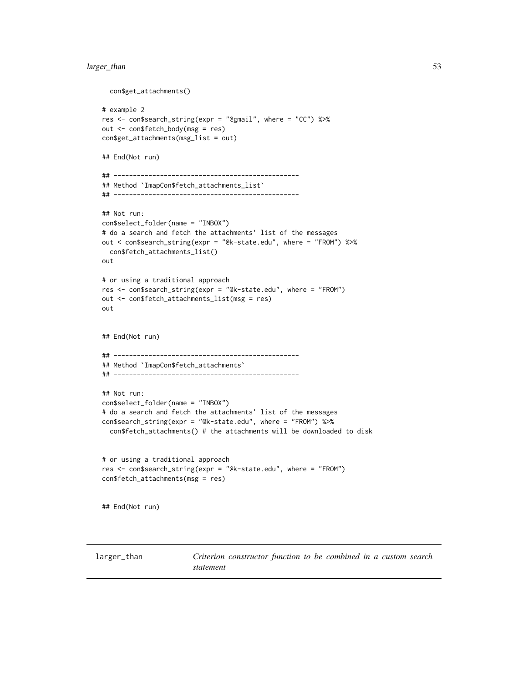## <span id="page-52-0"></span>larger\_than 53

```
con$get_attachments()
# example 2
res <- con$search_string(expr = "@gmail", where = "CC") %>%
out <- con$fetch_body(msg = res)
con$get_attachments(msg_list = out)
## End(Not run)
## ------------------------------------------------
## Method `ImapCon$fetch_attachments_list`
## ------------------------------------------------
## Not run:
con$select_folder(name = "INBOX")
# do a search and fetch the attachments' list of the messages
out < con$search_string(expr = "@k-state.edu", where = "FROM") %>%
  con$fetch_attachments_list()
out
# or using a traditional approach
res <- con$search_string(expr = "@k-state.edu", where = "FROM")
out <- con$fetch_attachments_list(msg = res)
out
## End(Not run)
## ------------------------------------------------
## Method `ImapCon$fetch_attachments`
## ------------------------------------------------
## Not run:
con$select_folder(name = "INBOX")
# do a search and fetch the attachments' list of the messages
con$search_string(expr = "@k-state.edu", where = "FROM") %>%
  con$fetch_attachments() # the attachments will be downloaded to disk
# or using a traditional approach
res <- con$search_string(expr = "@k-state.edu", where = "FROM")
con$fetch_attachments(msg = res)
## End(Not run)
```
<span id="page-52-1"></span>larger\_than *Criterion constructor function to be combined in a custom search statement*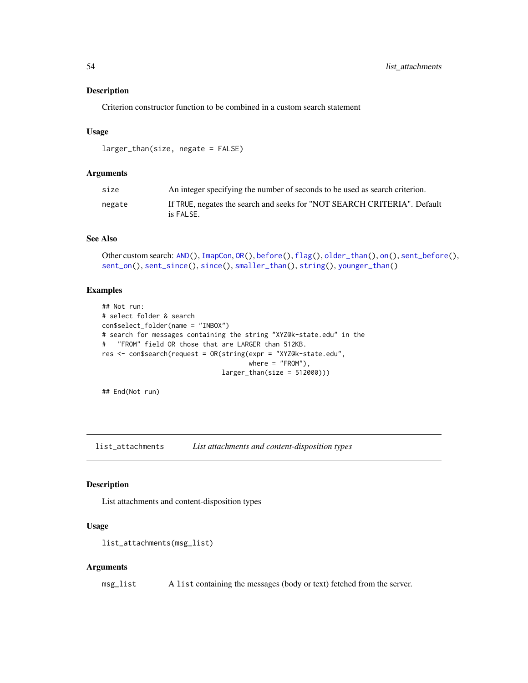<span id="page-53-0"></span>Criterion constructor function to be combined in a custom search statement

## Usage

```
larger_than(size, negate = FALSE)
```
#### Arguments

| size   | An integer specifying the number of seconds to be used as search criterion.           |
|--------|---------------------------------------------------------------------------------------|
| negate | If TRUE, negates the search and seeks for "NOT SEARCH CRITERIA". Default<br>is FALSE. |

#### See Also

```
Other custom search: AND(), ImapCon, OR(), before(), flag(), older_than(), on(), sent_before(),
sent_on(), sent_since(), since(), smaller_than(), string(), younger_than()
```
## Examples

```
## Not run:
# select folder & search
con$select_folder(name = "INBOX")
# search for messages containing the string "XYZ@k-state.edu" in the
# "FROM" field OR those that are LARGER than 512KB.
res <- con$search(request = OR(string(expr = "XYZ@k-state.edu",
                                      where = "FROM"),
                               larger_than(size = 512000)))
```
## End(Not run)

<span id="page-53-1"></span>list\_attachments *List attachments and content-disposition types*

#### Description

List attachments and content-disposition types

## Usage

```
list_attachments(msg_list)
```
#### Arguments

msg\_list A list containing the messages (body or text) fetched from the server.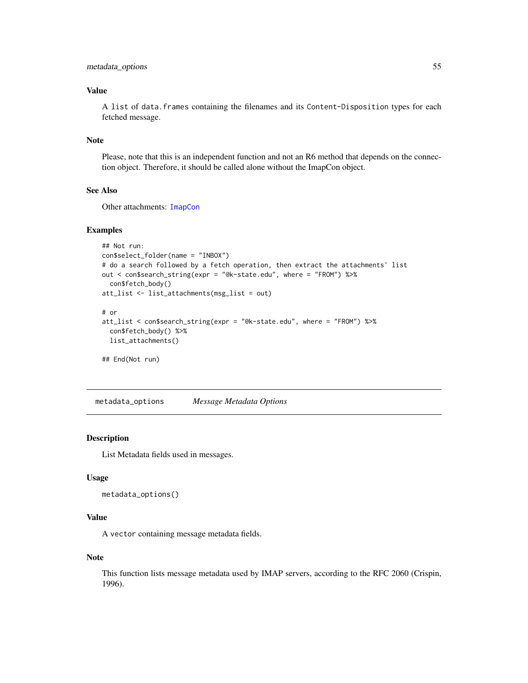## <span id="page-54-0"></span>Value

A list of data.frames containing the filenames and its Content-Disposition types for each fetched message.

#### Note

Please, note that this is an independent function and not an R6 method that depends on the connection object. Therefore, it should be called alone without the ImapCon object.

## See Also

Other attachments: [ImapCon](#page-8-1)

#### Examples

```
## Not run:
con$select_folder(name = "INBOX")
# do a search followed by a fetch operation, then extract the attachments' list
out < con$search_string(expr = "@k-state.edu", where = "FROM") %>%
  con$fetch_body()
att_list <- list_attachments(msg_list = out)
# or
att_list < con$search_string(expr = "@k-state.edu", where = "FROM") %>%
  con$fetch_body() %>%
```

```
list_attachments()
```
## End(Not run)

<span id="page-54-1"></span>metadata\_options *Message Metadata Options*

#### Description

List Metadata fields used in messages.

#### Usage

```
metadata_options()
```
## Value

A vector containing message metadata fields.

#### Note

This function lists message metadata used by IMAP servers, according to the RFC 2060 (Crispin, 1996).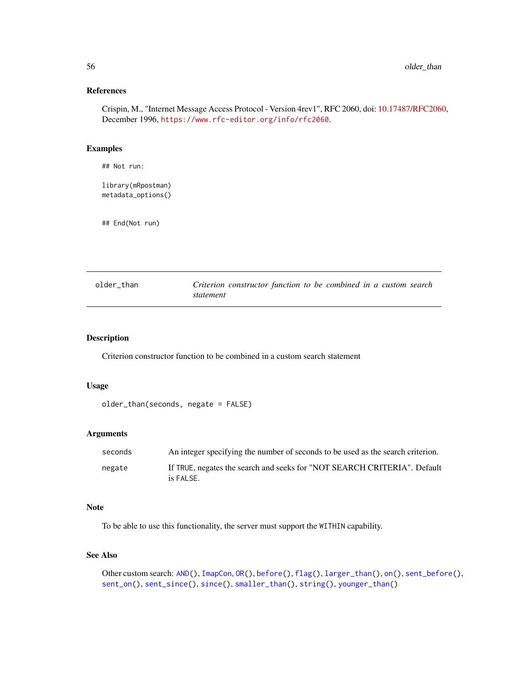## <span id="page-55-0"></span>References

Crispin, M., "Internet Message Access Protocol - Version 4rev1", RFC 2060, doi: [10.17487/RFC2060,](https://doi.org/10.17487/RFC2060) December 1996, <https://www.rfc-editor.org/info/rfc2060>.

## Examples

## Not run:

library(mRpostman) metadata\_options()

## End(Not run)

<span id="page-55-1"></span>

| older than | Criterion constructor function to be combined in a custom search |  |  |  |
|------------|------------------------------------------------------------------|--|--|--|
|            | statement                                                        |  |  |  |

#### Description

Criterion constructor function to be combined in a custom search statement

## Usage

```
older_than(seconds, negate = FALSE)
```
## Arguments

| seconds | An integer specifying the number of seconds to be used as the search criterion.       |
|---------|---------------------------------------------------------------------------------------|
| negate  | If TRUE, negates the search and seeks for "NOT SEARCH CRITERIA". Default<br>is FALSE. |

## Note

To be able to use this functionality, the server must support the WITHIN capability.

## See Also

```
Other custom search: AND(), ImapCon, OR(), before(), flag(), larger_than(), on(), sent_before(),
sent_on(), sent_since(), since(), smaller_than(), string(), younger_than()
```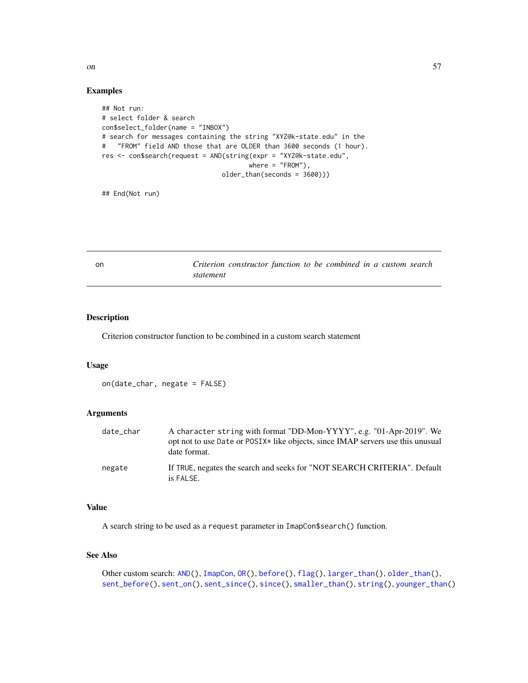<span id="page-56-0"></span>

#### Examples

```
## Not run:
# select folder & search
con$select_folder(name = "INBOX")
# search for messages containing the string "XYZ@k-state.edu" in the
# "FROM" field AND those that are OLDER than 3600 seconds (1 hour).
res <- con$search(request = AND(string(expr = "XYZ@k-state.edu",
                                      where = "FROM"),
                               older_than(seconds = 3600)))
```
## End(Not run)

<span id="page-56-1"></span>on *Criterion constructor function to be combined in a custom search statement*

## Description

Criterion constructor function to be combined in a custom search statement

## Usage

```
on(date_char, negate = FALSE)
```
## Arguments

| date_char | A character string with format "DD-Mon-YYYY", e.g. "01-Apr-2019". We<br>opt not to use Date or POSIX <sup>*</sup> like objects, since IMAP servers use this unusual<br>date format. |
|-----------|-------------------------------------------------------------------------------------------------------------------------------------------------------------------------------------|
| negate    | If TRUE, negates the search and seeks for "NOT SEARCH CRITERIA". Default<br>is FALSE.                                                                                               |

## Value

A search string to be used as a request parameter in ImapCon\$search() function.

#### See Also

```
Other custom search: AND(), ImapCon, OR(), before(), flag(), larger_than(), older_than(),
sent_before(), sent_on(), sent_since(), since(), smaller_than(), string(), younger_than()
```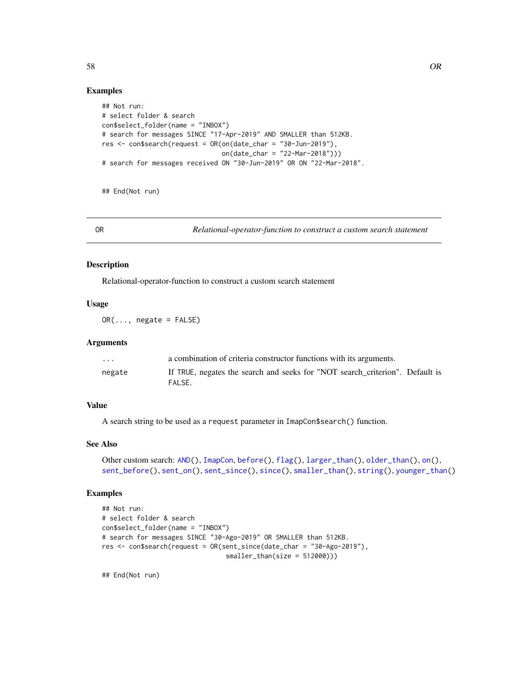## Examples

```
## Not run:
# select folder & search
con$select_folder(name = "INBOX")
# search for messages SINCE "17-Apr-2019" AND SMALLER than 512KB.
res \le con$search(request = OR(on(date_char = "30-Jun-2019"),
                               on(date_char = "22-Mar-2018")))
# search for messages received ON "30-Jun-2019" OR ON "22-Mar-2018".
```
## End(Not run)

<span id="page-57-1"></span>OR *Relational-operator-function to construct a custom search statement*

## Description

Relational-operator-function to construct a custom search statement

## Usage

 $OR(..., \text{negative} = FALSE)$ 

#### Arguments

| $\cdots$ | a combination of criteria constructor functions with its arguments.                    |
|----------|----------------------------------------------------------------------------------------|
| negate   | If TRUE, negates the search and seeks for "NOT search criterion". Default is<br>FALSE. |

## Value

A search string to be used as a request parameter in ImapCon\$search() function.

#### See Also

```
Other custom search: AND(), ImapCon, before(), flag(), larger_than(), older_than(), on(),
sent_before(), sent_on(), sent_since(), since(), smaller_than(), string(), younger_than()
```
## Examples

```
## Not run:
# select folder & search
con$select_folder(name = "INBOX")
# search for messages SINCE "30-Ago-2019" OR SMALLER than 512KB.
res <- con$search(request = OR(sent_since(date_char = "30-Ago-2019"),
                                smaller_than(size = 512000)))
```
<span id="page-57-0"></span>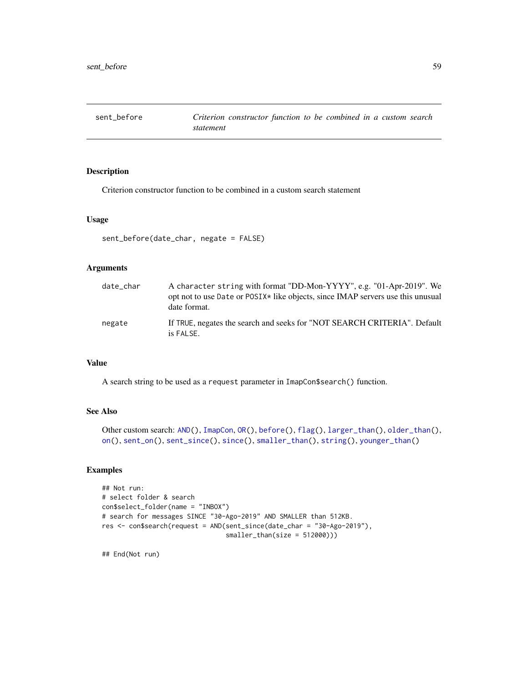<span id="page-58-1"></span><span id="page-58-0"></span>

Criterion constructor function to be combined in a custom search statement

#### Usage

```
sent_before(date_char, negate = FALSE)
```
## Arguments

| date_char | A character string with format "DD-Mon-YYYY", e.g. "01-Apr-2019". We<br>opt not to use Date or POSIX* like objects, since IMAP servers use this unusual<br>date format. |
|-----------|-------------------------------------------------------------------------------------------------------------------------------------------------------------------------|
| negate    | If TRUE, negates the search and seeks for "NOT SEARCH CRITERIA". Default<br>is FALSE.                                                                                   |

## Value

A search string to be used as a request parameter in ImapCon\$search() function.

## See Also

```
Other custom search: AND(), ImapCon, OR(), before(), flag(), larger_than(), older_than(),
on(), sent_on(), sent_since(), since(), smaller_than(), string(), younger_than()
```
## Examples

```
## Not run:
# select folder & search
con$select_folder(name = "INBOX")
# search for messages SINCE "30-Ago-2019" AND SMALLER than 512KB.
res <- con$search(request = AND(sent_since(date_char = "30-Ago-2019"),
                                smaller_than(size = 512000)))
```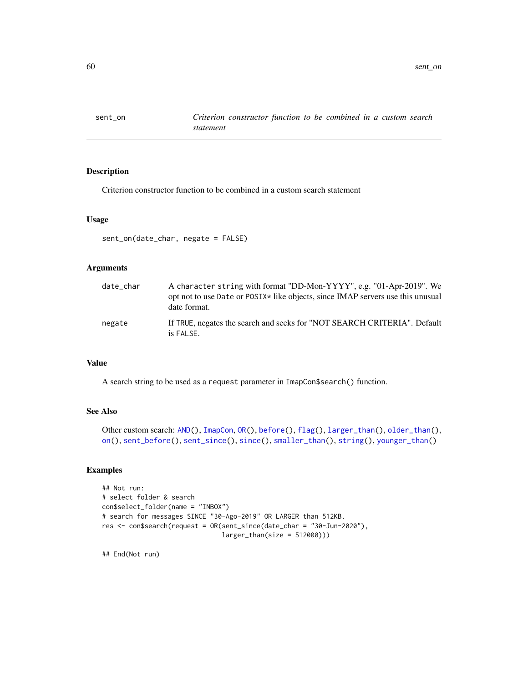<span id="page-59-1"></span><span id="page-59-0"></span>

Criterion constructor function to be combined in a custom search statement

#### Usage

```
sent_on(date_char, negate = FALSE)
```
## Arguments

| date_char | A character string with format "DD-Mon-YYYY", e.g. "01-Apr-2019". We<br>opt not to use Date or POSIX* like objects, since IMAP servers use this unusual<br>date format. |
|-----------|-------------------------------------------------------------------------------------------------------------------------------------------------------------------------|
| negate    | If TRUE, negates the search and seeks for "NOT SEARCH CRITERIA". Default<br>is FALSE.                                                                                   |

## Value

A search string to be used as a request parameter in ImapCon\$search() function.

## See Also

```
Other custom search: AND(), ImapCon, OR(), before(), flag(), larger_than(), older_than(),
on(), sent_before(), sent_since(), since(), smaller_than(), string(), younger_than()
```
## Examples

```
## Not run:
# select folder & search
con$select_folder(name = "INBOX")
# search for messages SINCE "30-Ago-2019" OR LARGER than 512KB.
res <- con$search(request = OR(sent_since(date_char = "30-Jun-2020"),
                               larger_than(size = 512000)))
```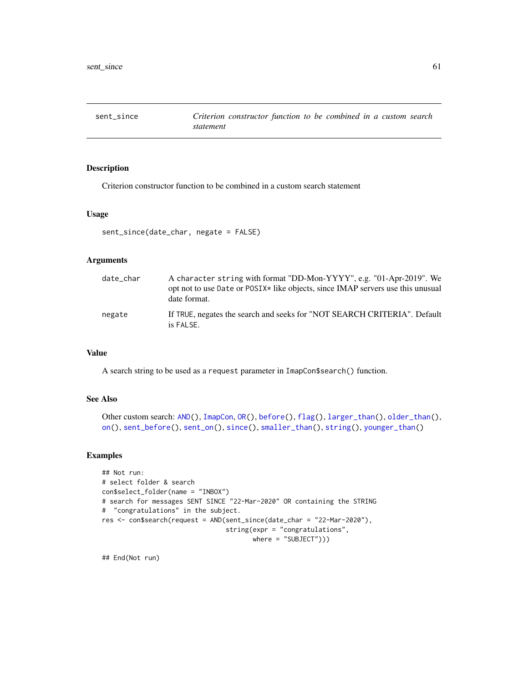<span id="page-60-1"></span><span id="page-60-0"></span>

Criterion constructor function to be combined in a custom search statement

#### Usage

```
sent_since(date_char, negate = FALSE)
```
## Arguments

| date_char | A character string with format "DD-Mon-YYYY", e.g. "01-Apr-2019". We<br>opt not to use Date or POSIX <sup>*</sup> like objects, since IMAP servers use this unusual<br>date format. |
|-----------|-------------------------------------------------------------------------------------------------------------------------------------------------------------------------------------|
| negate    | If TRUE, negates the search and seeks for "NOT SEARCH CRITERIA". Default<br>is FALSE.                                                                                               |

#### Value

A search string to be used as a request parameter in ImapCon\$search() function.

## See Also

```
Other custom search: AND(), ImapCon, OR(), before(), flag(), larger_than(), older_than(),
on(), sent_before(), sent_on(), since(), smaller_than(), string(), younger_than()
```
## Examples

```
## Not run:
# select folder & search
con$select_folder(name = "INBOX")
# search for messages SENT SINCE "22-Mar-2020" OR containing the STRING
# "congratulations" in the subject.
res <- con$search(request = AND(sent_since(date_char = "22-Mar-2020"),
                                string(expr = "congratulations",
                                       where = "SUBJECT"))
```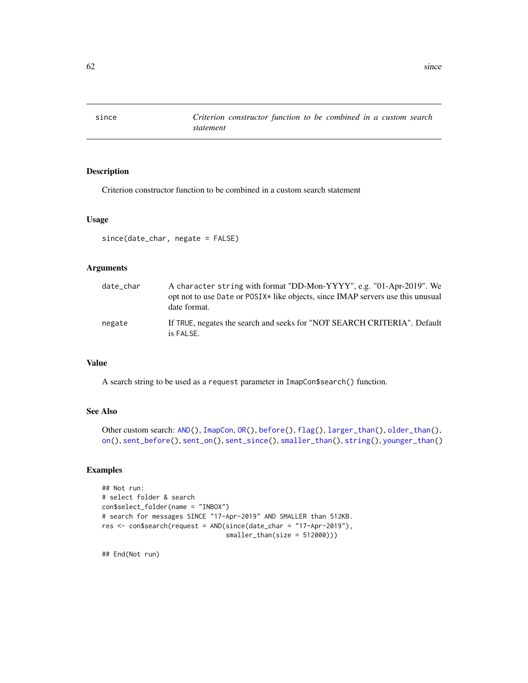<span id="page-61-1"></span><span id="page-61-0"></span>

Criterion constructor function to be combined in a custom search statement

#### Usage

since(date\_char, negate = FALSE)

## Arguments

| date_char | A character string with format "DD-Mon-YYYY", e.g. "01-Apr-2019". We<br>opt not to use Date or POSIX* like objects, since IMAP servers use this unusual<br>date format. |
|-----------|-------------------------------------------------------------------------------------------------------------------------------------------------------------------------|
| negate    | If TRUE, negates the search and seeks for "NOT SEARCH CRITERIA". Default<br>is FALSE.                                                                                   |

## Value

A search string to be used as a request parameter in ImapCon\$search() function.

## See Also

```
Other custom search: AND(), ImapCon, OR(), before(), flag(), larger_than(), older_than(),
on(), sent_before(), sent_on(), sent_since(), smaller_than(), string(), younger_than()
```
## Examples

```
## Not run:
# select folder & search
con$select_folder(name = "INBOX")
# search for messages SINCE "17-Apr-2019" AND SMALLER than 512KB.
res <- con$search(request = AND(since(date_char = "17-Apr-2019"),
                                smaller_than(size = 512000)))
```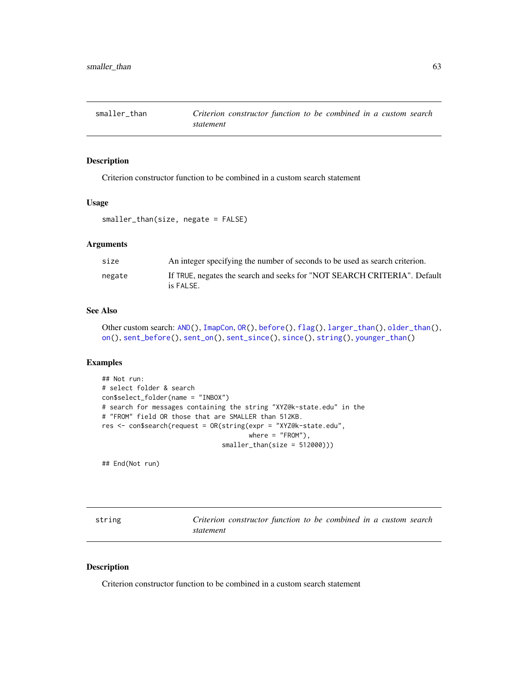<span id="page-62-1"></span><span id="page-62-0"></span>

Criterion constructor function to be combined in a custom search statement

#### Usage

```
smaller_than(size, negate = FALSE)
```
## Arguments

| size   | An integer specifying the number of seconds to be used as search criterion.           |
|--------|---------------------------------------------------------------------------------------|
| negate | If TRUE, negates the search and seeks for "NOT SEARCH CRITERIA". Default<br>is FALSE. |

## See Also

```
Other custom search: AND(), ImapCon, OR(), before(), flag(), larger_than(), older_than(),
on(), sent_before(), sent_on(), sent_since(), since(), string(), younger_than()
```
## Examples

```
## Not run:
# select folder & search
con$select_folder(name = "INBOX")
# search for messages containing the string "XYZ@k-state.edu" in the
# "FROM" field OR those that are SMALLER than 512KB.
res <- con$search(request = OR(string(expr = "XYZ@k-state.edu",
                                      where = "FROM"),
                               smaller_than(size = 512000)))
```
## End(Not run)

<span id="page-62-2"></span>

| string |           | Criterion constructor function to be combined in a custom search |  |  |  |  |
|--------|-----------|------------------------------------------------------------------|--|--|--|--|
|        | statement |                                                                  |  |  |  |  |

#### Description

Criterion constructor function to be combined in a custom search statement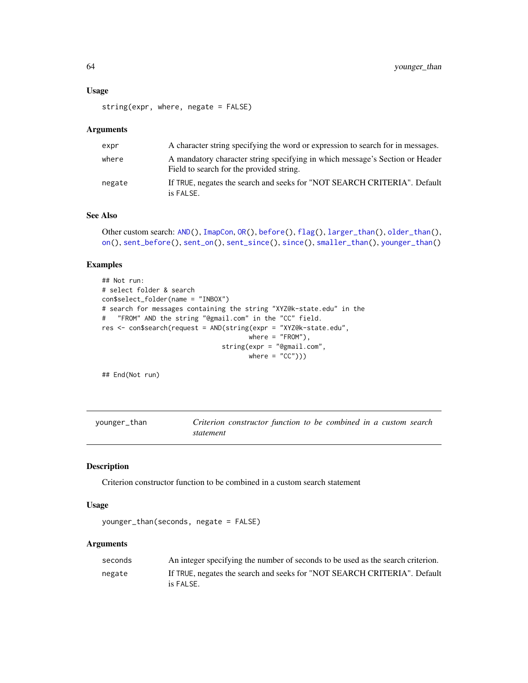#### <span id="page-63-0"></span>Usage

string(expr, where, negate = FALSE)

#### **Arguments**

| expr   | A character string specifying the word or expression to search for in messages.                                          |
|--------|--------------------------------------------------------------------------------------------------------------------------|
| where  | A mandatory character string specifying in which message's Section or Header<br>Field to search for the provided string. |
| negate | If TRUE, negates the search and seeks for "NOT SEARCH CRITERIA". Default<br>is FALSE.                                    |

#### See Also

```
Other custom search: AND(), ImapCon, OR(), before(), flag(), larger_than(), older_than(),
on(), sent_before(), sent_on(), sent_since(), since(), smaller_than(), younger_than()
```
## Examples

```
## Not run:
# select folder & search
con$select_folder(name = "INBOX")
# search for messages containing the string "XYZ@k-state.edu" in the
# "FROM" AND the string "@gmail.com" in the "CC" field.
res <- con$search(request = AND(string(expr = "XYZ@k-state.edu",
                                       where = "FROM"),
                                string(expr = "@gmail.com",
                                       where = (C^{\prime\prime}))
```
## End(Not run)

```
younger_than Criterion constructor function to be combined in a custom search
                      statement
```
#### Description

Criterion constructor function to be combined in a custom search statement

#### Usage

```
younger_than(seconds, negate = FALSE)
```

| seconds | An integer specifying the number of seconds to be used as the search criterion.       |
|---------|---------------------------------------------------------------------------------------|
| negate  | If TRUE, negates the search and seeks for "NOT SEARCH CRITERIA". Default<br>is FALSE. |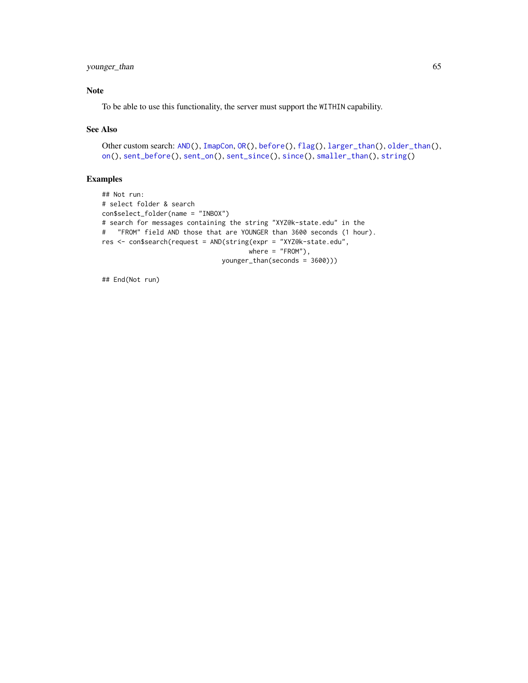## <span id="page-64-0"></span>younger\_than 65

## Note

To be able to use this functionality, the server must support the WITHIN capability.

## See Also

```
Other custom search: AND(), ImapCon, OR(), before(), flag(), larger_than(), older_than(),
on(), sent_before(), sent_on(), sent_since(), since(), smaller_than(), string()
```
## Examples

```
## Not run:
# select folder & search
con$select_folder(name = "INBOX")
# search for messages containing the string "XYZ@k-state.edu" in the
# "FROM" field AND those that are YOUNGER than 3600 seconds (1 hour).
res <- con$search(request = AND(string(expr = "XYZ@k-state.edu",
                                     where = "FROM"),
                               younger_than(seconds = 3600)))
```